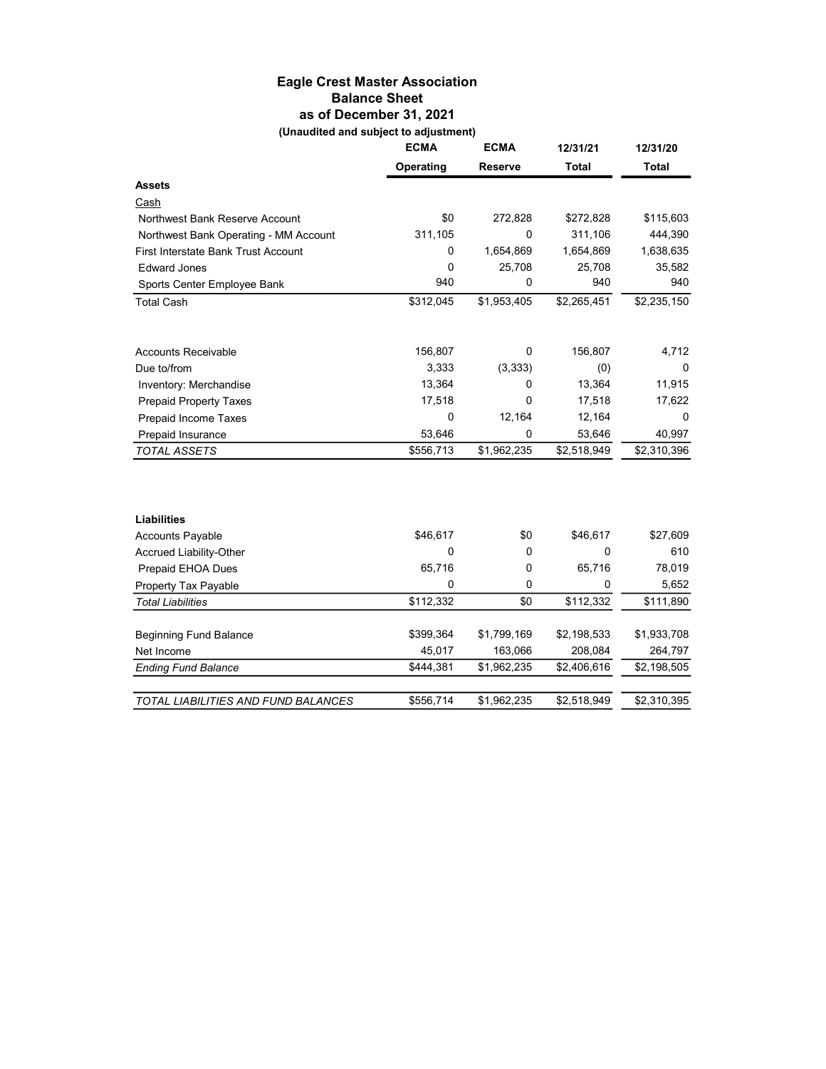## Eagle Crest Master Association Balance Sheet as of December 31, 2021 (Unaudited and subject to adjustment)

| <b>ECMA</b> | <b>ECMA</b> | 12/31/21     | 12/31/20     |
|-------------|-------------|--------------|--------------|
| Operating   | Reserve     | <b>Total</b> | <b>Total</b> |
|             |             |              |              |
|             |             |              |              |
| \$0         | 272,828     | \$272,828    | \$115,603    |
| 311,105     | 0           | 311,106      | 444,390      |
| 0           | 1,654,869   | 1,654,869    | 1,638,635    |
| 0           | 25,708      | 25,708       | 35,582       |
| 940         | 0           | 940          | 940          |
| \$312,045   | \$1,953,405 | \$2,265,451  | \$2,235,150  |
| 156,807     | 0           | 156,807      | 4,712        |
| 3,333       | (3,333)     | (0)          | 0            |
| 13,364      | 0           | 13,364       | 11,915       |
| 17,518      | 0           | 17,518       | 17,622       |
| 0           | 12,164      | 12,164       | 0            |
| 53,646      | 0           | 53,646       | 40,997       |
| \$556,713   | \$1,962,235 | \$2,518,949  | \$2,310,396  |
|             |             |              |              |
|             |             |              |              |
| \$46,617    | \$0         | \$46,617     | \$27,609     |
| 0           | 0           | $\mathbf 0$  | 610          |
| 65,716      | 0           | 65,716       | 78,019       |
| 0           | 0           | 0            | 5,652        |
| \$112,332   | \$0         | \$112,332    | \$111,890    |
|             |             |              | \$1,933,708  |
| 45,017      | 163,066     | 208,084      | 264,797      |
| \$444,381   | \$1,962,235 | \$2,406,616  | \$2,198,505  |
| \$556,714   | \$1,962,235 | \$2,518,949  | \$2,310,395  |
|             | \$399,364   | \$1,799,169  | \$2,198,533  |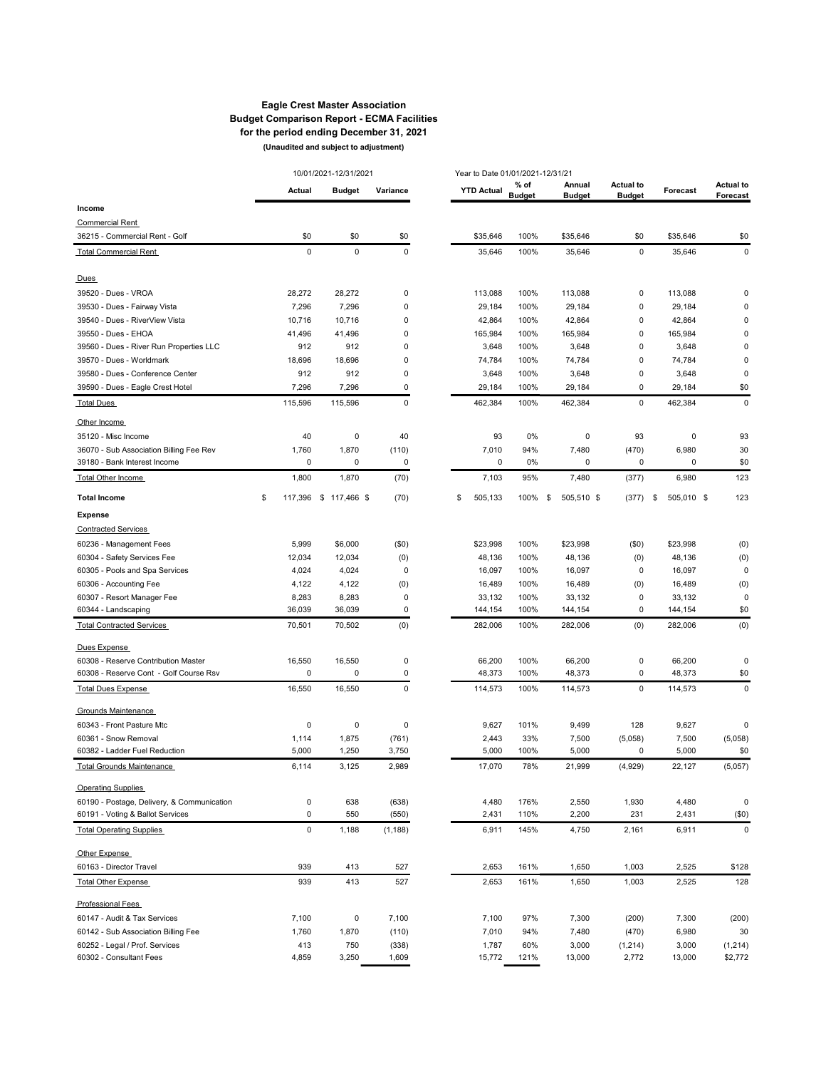#### Eagle Crest Master Association Budget Comparison Report - ECMA Facilities for the period ending December 31, 2021 (Unaudited and subject to adjustment)

|                                            |               | 10/01/2021-12/31/2021 |             | Year to Date 01/01/2021-12/31/21 |                       |                         |                                   |                    |                              |
|--------------------------------------------|---------------|-----------------------|-------------|----------------------------------|-----------------------|-------------------------|-----------------------------------|--------------------|------------------------------|
|                                            | <b>Actual</b> | <b>Budget</b>         | Variance    | <b>YTD Actual</b>                | % of<br><b>Budget</b> | Annual<br><b>Budget</b> | <b>Actual to</b><br><b>Budget</b> | Forecast           | <b>Actual to</b><br>Forecast |
| Income                                     |               |                       |             |                                  |                       |                         |                                   |                    |                              |
| <b>Commercial Rent</b>                     |               |                       |             |                                  |                       |                         |                                   |                    |                              |
| 36215 - Commercial Rent - Golf             | \$0           | \$0                   | \$0         | \$35,646                         | 100%                  | \$35,646                | \$0                               | \$35,646           | \$0                          |
| <b>Total Commercial Rent</b>               | $\mathbf 0$   | $\pmb{0}$             | $\mathbf 0$ | 35,646                           | 100%                  | 35,646                  | $\mathbf 0$                       | 35,646             | $\mathbf 0$                  |
|                                            |               |                       |             |                                  |                       |                         |                                   |                    |                              |
| Dues                                       |               |                       |             |                                  |                       |                         |                                   |                    |                              |
| 39520 - Dues - VROA                        | 28,272        | 28,272                | 0           | 113,088                          | 100%                  | 113,088                 | 0                                 | 113,088            | 0                            |
| 39530 - Dues - Fairway Vista               | 7,296         | 7,296                 | 0           | 29,184                           | 100%                  | 29,184                  | 0                                 | 29,184             | 0                            |
| 39540 - Dues - RiverView Vista             | 10,716        | 10,716                | 0           | 42,864                           | 100%                  | 42,864                  | 0                                 | 42,864             | 0                            |
| 39550 - Dues - EHOA                        | 41,496        | 41,496                | 0           | 165,984                          | 100%                  | 165,984                 | 0                                 | 165,984            | $\mathbf 0$                  |
| 39560 - Dues - River Run Properties LLC    | 912           | 912                   | 0           | 3,648                            | 100%                  | 3,648                   | 0                                 | 3,648              | $\mathbf 0$                  |
| 39570 - Dues - Worldmark                   | 18,696        | 18,696                | 0           | 74,784                           | 100%                  | 74,784                  | 0                                 | 74,784             | $\mathbf 0$                  |
| 39580 - Dues - Conference Center           | 912           | 912                   | 0           | 3,648                            | 100%                  | 3,648                   | 0                                 | 3,648              | 0                            |
| 39590 - Dues - Eagle Crest Hotel           | 7,296         | 7,296                 | 0           | 29,184                           | 100%                  | 29,184                  | 0                                 | 29,184             | \$0                          |
| <b>Total Dues</b>                          | 115,596       | 115,596               | 0           | 462,384                          | 100%                  | 462,384                 | 0                                 | 462,384            | 0                            |
| Other Income                               |               |                       |             |                                  |                       |                         |                                   |                    |                              |
| 35120 - Misc Income                        | 40            | 0                     | 40          | 93                               | 0%                    | 0                       | 93                                | 0                  | 93                           |
| 36070 - Sub Association Billing Fee Rev    | 1,760         | 1,870                 | (110)       | 7,010                            | 94%                   | 7,480                   | (470)                             | 6,980              | 30                           |
| 39180 - Bank Interest Income               | 0             | 0                     | 0           | 0                                | 0%                    | 0                       | 0                                 | 0                  | \$0                          |
| Total Other Income                         | 1,800         | 1,870                 | (70)        | 7,103                            | 95%                   | 7,480                   | (377)                             | 6,980              | 123                          |
| <b>Total Income</b>                        | \$            | 117,396 \$ 117,466 \$ | (70)        | \$<br>505,133                    | 100%                  | \$<br>505,510 \$        | (377)                             | 505,010 \$<br>- \$ | 123                          |
| <b>Expense</b>                             |               |                       |             |                                  |                       |                         |                                   |                    |                              |
| <b>Contracted Services</b>                 |               |                       |             |                                  |                       |                         |                                   |                    |                              |
| 60236 - Management Fees                    | 5,999         | \$6,000               | (50)        | \$23,998                         | 100%                  | \$23,998                | (50)                              | \$23,998           | (0)                          |
| 60304 - Safety Services Fee                | 12,034        | 12,034                | (0)         | 48,136                           | 100%                  | 48,136                  | (0)                               | 48,136             | (0)                          |
| 60305 - Pools and Spa Services             | 4,024         | 4,024                 | 0           | 16,097                           | 100%                  | 16,097                  | 0                                 | 16,097             | 0                            |
| 60306 - Accounting Fee                     | 4,122         | 4,122                 | (0)         | 16,489                           | 100%                  | 16,489                  | (0)                               | 16,489             | (0)                          |
| 60307 - Resort Manager Fee                 | 8,283         | 8,283                 | 0           | 33,132                           | 100%                  | 33,132                  | 0                                 | 33,132             | $\pmb{0}$                    |
| 60344 - Landscaping                        | 36,039        | 36,039                | $\mathbf 0$ | 144,154                          | 100%                  | 144,154                 | 0                                 | 144,154            | \$0                          |
| <b>Total Contracted Services</b>           | 70,501        | 70,502                | (0)         | 282,006                          | 100%                  | 282,006                 | (0)                               | 282,006            | (0)                          |
| Dues Expense                               |               |                       |             |                                  |                       |                         |                                   |                    |                              |
| 60308 - Reserve Contribution Master        | 16,550        | 16,550                | 0           | 66,200                           | 100%                  | 66,200                  | 0                                 | 66,200             | 0                            |
| 60308 - Reserve Cont - Golf Course Rsv     | 0             | 0                     | 0           | 48,373                           | 100%                  | 48,373                  | 0                                 | 48,373             | \$0                          |
| <b>Total Dues Expense</b>                  | 16,550        | 16,550                | $\mathbf 0$ | 114,573                          | 100%                  | 114,573                 | 0                                 | 114,573            | $\mathbf 0$                  |
| Grounds Maintenance                        |               |                       |             |                                  |                       |                         |                                   |                    |                              |
| 60343 - Front Pasture Mtc                  | 0             | $\pmb{0}$             | $\mathbf 0$ | 9,627                            | 101%                  | 9,499                   | 128                               | 9,627              | $\mathbf 0$                  |
| 60361 - Snow Removal                       | 1,114         | 1,875                 | (761)       | 2,443                            | 33%                   | 7,500                   | (5,058)                           | 7,500              | (5,058)                      |
| 60382 - Ladder Fuel Reduction              | 5,000         | 1,250                 | 3,750       | 5,000                            | 100%                  | 5,000                   | 0                                 | 5,000              | \$0                          |
| <b>Total Grounds Maintenance</b>           | 6,114         | 3,125                 | 2,989       | 17,070                           | 78%                   | 21,999                  | (4,929)                           | 22,127             | (5,057)                      |
| <b>Operating Supplies</b>                  |               |                       |             |                                  |                       |                         |                                   |                    |                              |
| 60190 - Postage, Delivery, & Communication | 0             | 638                   | (638)       | 4,480                            | 176%                  | 2,550                   | 1,930                             | 4,480              | $\pmb{0}$                    |
| 60191 - Voting & Ballot Services           | 0             | 550                   | (550)       | 2,431                            | 110%                  | 2,200                   | 231                               | 2,431              | (\$0)                        |
| <b>Total Operating Supplies</b>            | 0             | 1,188                 | (1, 188)    | 6,911                            | 145%                  | 4,750                   | 2,161                             | 6,911              | $\pmb{0}$                    |
| Other Expense                              |               |                       |             |                                  |                       |                         |                                   |                    |                              |
| 60163 - Director Travel                    | 939           | 413                   | 527         | 2,653                            | 161%                  | 1,650                   | 1,003                             | 2,525              | \$128                        |
| <b>Total Other Expense</b>                 | 939           | 413                   | 527         | 2,653                            | 161%                  | 1,650                   | 1,003                             | 2,525              | 128                          |
| Professional Fees                          |               |                       |             |                                  |                       |                         |                                   |                    |                              |
| 60147 - Audit & Tax Services               | 7,100         | 0                     | 7,100       | 7,100                            | 97%                   | 7,300                   | (200)                             | 7,300              | (200)                        |
| 60142 - Sub Association Billing Fee        | 1,760         | 1,870                 | (110)       | 7,010                            | 94%                   | 7,480                   | (470)                             | 6,980              | 30                           |
| 60252 - Legal / Prof. Services             | 413           | 750                   | (338)       | 1,787                            | 60%                   | 3,000                   | (1, 214)                          | 3,000              | (1, 214)                     |
| 60302 - Consultant Fees                    | 4,859         | 3,250                 | 1,609       | 15,772                           | 121%                  | 13,000                  | 2,772                             | 13,000             | \$2,772                      |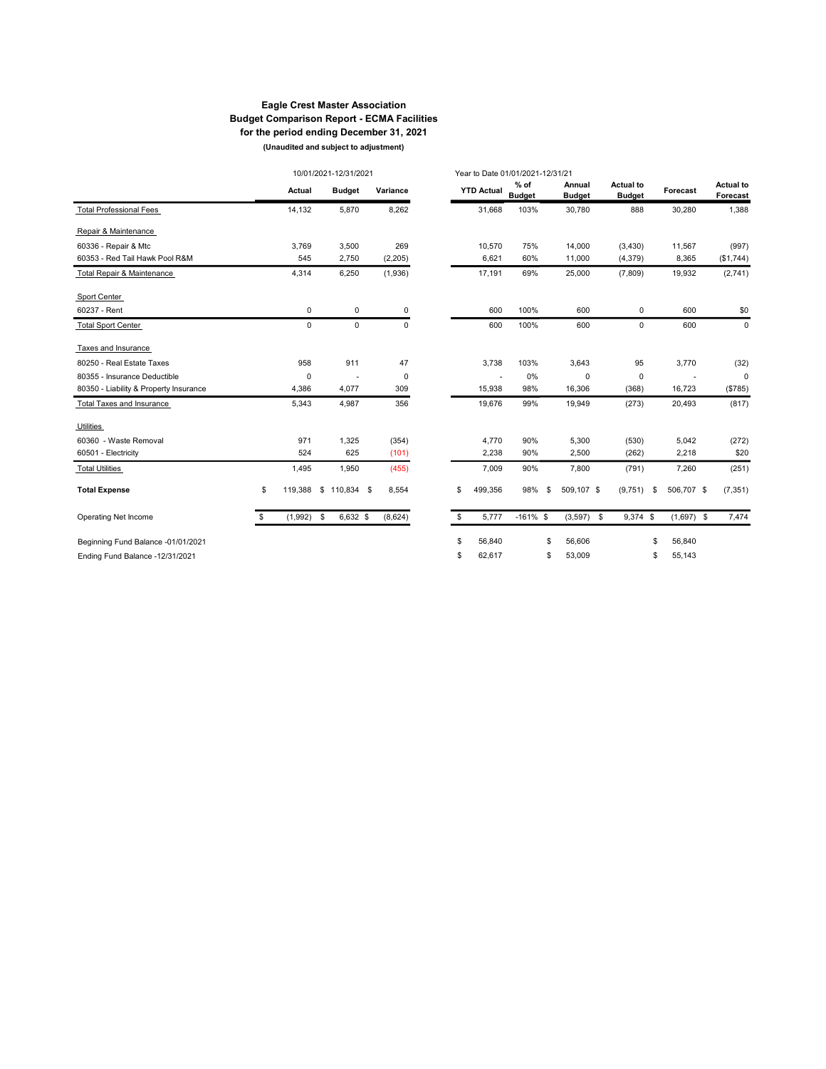### Eagle Crest Master Association Budget Comparison Report - ECMA Facilities for the period ending December 31, 2021 (Unaudited and subject to adjustment)

|                                        |               | 10/01/2021-12/31/2021 |             |             | Year to Date 01/01/2021-12/31/21 |                         |     |                         |                                   |    |              |                       |
|----------------------------------------|---------------|-----------------------|-------------|-------------|----------------------------------|-------------------------|-----|-------------------------|-----------------------------------|----|--------------|-----------------------|
|                                        | Actual        | <b>Budget</b>         |             | Variance    | <b>YTD Actual</b>                | $%$ of<br><b>Budget</b> |     | Annual<br><b>Budget</b> | <b>Actual to</b><br><b>Budget</b> |    | Forecast     | Actual to<br>Forecast |
| <b>Total Professional Fees</b>         | 14,132        | 5,870                 |             | 8,262       | 31,668                           | 103%                    |     | 30,780                  | 888                               |    | 30,280       | 1,388                 |
| Repair & Maintenance                   |               |                       |             |             |                                  |                         |     |                         |                                   |    |              |                       |
| 60336 - Repair & Mtc                   | 3,769         | 3,500                 |             | 269         | 10,570                           | 75%                     |     | 14,000                  | (3,430)                           |    | 11,567       | (997)                 |
| 60353 - Red Tail Hawk Pool R&M         | 545           | 2,750                 |             | (2, 205)    | 6,621                            | 60%                     |     | 11,000                  | (4, 379)                          |    | 8,365        | (\$1,744)             |
| Total Repair & Maintenance             | 4,314         | 6,250                 |             | (1,936)     | 17,191                           | 69%                     |     | 25,000                  | (7,809)                           |    | 19,932       | (2,741)               |
| Sport Center                           |               |                       |             |             |                                  |                         |     |                         |                                   |    |              |                       |
| 60237 - Rent                           | 0             |                       | 0           | $\mathbf 0$ | 600                              | 100%                    |     | 600                     | 0                                 |    | 600          | \$0                   |
| <b>Total Sport Center</b>              | $\Omega$      |                       | $\mathbf 0$ | $\Omega$    | 600                              | 100%                    |     | 600                     | $\Omega$                          |    | 600          | 0                     |
| Taxes and Insurance                    |               |                       |             |             |                                  |                         |     |                         |                                   |    |              |                       |
| 80250 - Real Estate Taxes              | 958           | 911                   |             | 47          | 3,738                            | 103%                    |     | 3,643                   | 95                                |    | 3,770        | (32)                  |
| 80355 - Insurance Deductible           | 0             |                       |             | $\mathbf 0$ |                                  | 0%                      |     | $\mathbf 0$             | 0                                 |    |              | 0                     |
| 80350 - Liability & Property Insurance | 4,386         | 4,077                 |             | 309         | 15.938                           | 98%                     |     | 16,306                  | (368)                             |    | 16,723       | (\$785)               |
| Total Taxes and Insurance              | 5,343         | 4,987                 |             | 356         | 19.676                           | 99%                     |     | 19.949                  | (273)                             |    | 20.493       | (817)                 |
| <b>Utilities</b>                       |               |                       |             |             |                                  |                         |     |                         |                                   |    |              |                       |
| 60360 - Waste Removal                  | 971           | 1,325                 |             | (354)       | 4,770                            | 90%                     |     | 5,300                   | (530)                             |    | 5,042        | (272)                 |
| 60501 - Electricity                    | 524           | 625                   |             | (101)       | 2,238                            | 90%                     |     | 2,500                   | (262)                             |    | 2,218        | \$20                  |
| <b>Total Utilities</b>                 | 1,495         | 1,950                 |             | (455)       | 7,009                            | 90%                     |     | 7,800                   | (791)                             |    | 7,260        | (251)                 |
| <b>Total Expense</b>                   | \$<br>119,388 | $$110,834$ \$         |             | 8,554       | \$<br>499,356                    | 98%                     | \$. | 509,107 \$              | (9,751)                           | \$ | 506,707 \$   | (7, 351)              |
| Operating Net Income                   | \$<br>(1,992) | \$<br>6,632 \$        |             | (8,624)     | \$<br>5.777                      | $-161\%$ \$             |     | $(3,597)$ \$            | 9,374 \$                          |    | $(1,697)$ \$ | 7,474                 |
| Beginning Fund Balance -01/01/2021     |               |                       |             |             | \$<br>56,840                     |                         | \$  | 56,606                  |                                   | \$ | 56,840       |                       |
| Ending Fund Balance -12/31/2021        |               |                       |             |             | \$<br>62,617                     |                         | \$  | 53,009                  |                                   | \$ | 55,143       |                       |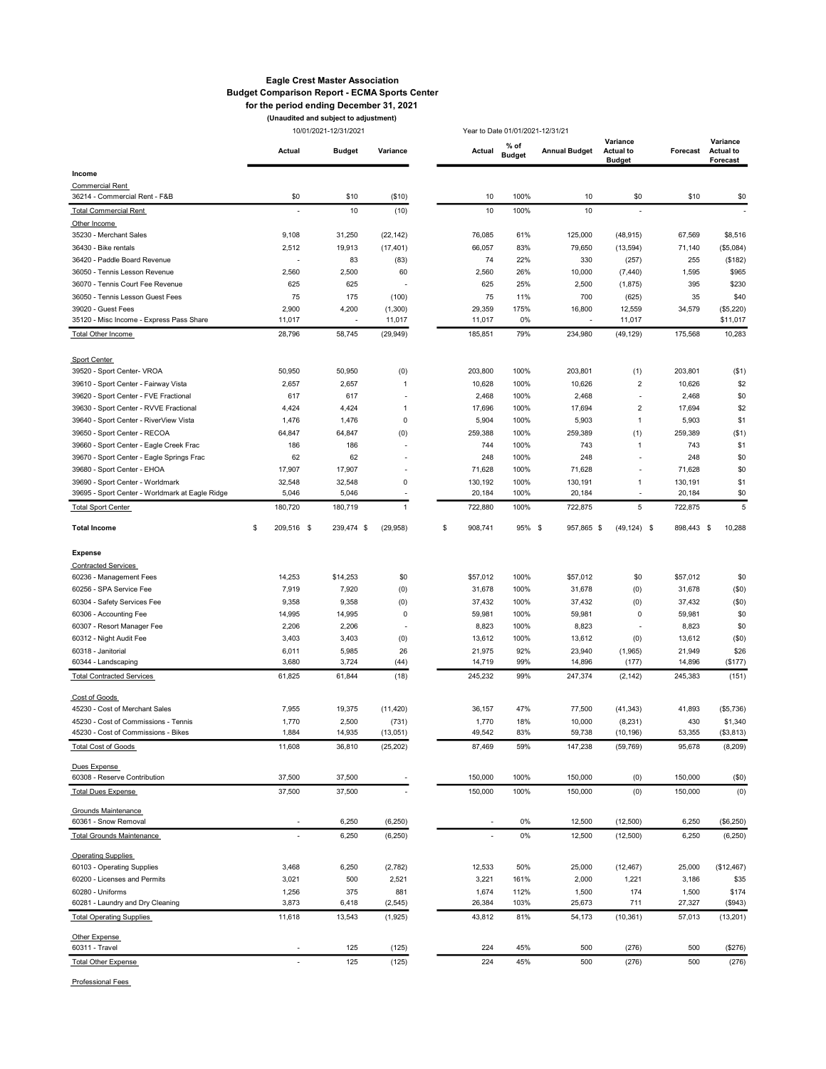#### Eagle Crest Master Association Budget Comparison Report - ECMA Sports Center for the period ending December 31, 2021

10/01/2021-12/31/2021 (Unaudited and subject to adjustment)

Year to Date 01/01/2021-12/31/21

|                                                               | Actual           | <b>Budget</b>                     | Variance                 | Actual                   | $%$ of<br><b>Budget</b> | <b>Annual Budget</b> | Variance<br><b>Actual to</b><br><b>Budget</b> | Forecast     | Variance<br><b>Actual to</b><br>Forecast |
|---------------------------------------------------------------|------------------|-----------------------------------|--------------------------|--------------------------|-------------------------|----------------------|-----------------------------------------------|--------------|------------------------------------------|
| Income                                                        |                  |                                   |                          |                          |                         |                      |                                               |              |                                          |
| <b>Commercial Rent</b>                                        |                  |                                   |                          |                          |                         |                      |                                               |              |                                          |
| 36214 - Commercial Rent - F&B                                 |                  | \$0<br>\$10                       | (\$10)                   | 10                       | 100%                    | 10                   | \$0                                           | \$10         | \$0                                      |
| <b>Total Commercial Rent</b>                                  |                  | 10                                | (10)                     | 10                       | 100%                    | 10                   |                                               |              |                                          |
| Other Income                                                  |                  |                                   |                          |                          |                         |                      |                                               |              |                                          |
| 35230 - Merchant Sales                                        | 9,108            | 31,250                            | (22, 142)                | 76,085                   | 61%                     | 125,000              | (48, 915)                                     | 67,569       | \$8,516                                  |
| 36430 - Bike rentals                                          | 2,512            | 19,913                            | (17, 401)                | 66,057                   | 83%                     | 79,650               | (13, 594)                                     | 71,140       | (\$5,084)                                |
| 36420 - Paddle Board Revenue<br>36050 - Tennis Lesson Revenue |                  | 83<br>÷,                          | (83)                     | 74                       | 22%                     | 330                  | (257)                                         | 255          | (\$182)                                  |
| 36070 - Tennis Court Fee Revenue                              | 2,560<br>625     | 2,500<br>625                      | 60                       | 2,560<br>625             | 26%<br>25%              | 10,000<br>2,500      | (7, 440)<br>(1,875)                           | 1,595<br>395 | \$965<br>\$230                           |
| 36050 - Tennis Lesson Guest Fees                              |                  | 75<br>175                         | (100)                    | 75                       | 11%                     | 700                  | (625)                                         | 35           | \$40                                     |
| 39020 - Guest Fees                                            | 2,900            | 4,200                             | (1,300)                  | 29,359                   | 175%                    | 16,800               | 12,559                                        | 34,579       | (\$5,220)                                |
| 35120 - Misc Income - Express Pass Share                      | 11,017           |                                   | 11,017                   | 11,017                   | 0%                      |                      | 11,017                                        |              | \$11,017                                 |
| Total Other Income                                            | 28,796           | 58,745                            | (29, 949)                | 185,851                  | 79%                     | 234,980              | (49, 129)                                     | 175,568      | 10,283                                   |
|                                                               |                  |                                   |                          |                          |                         |                      |                                               |              |                                          |
| Sport Center                                                  |                  |                                   |                          |                          |                         |                      |                                               |              |                                          |
| 39520 - Sport Center- VROA                                    | 50,950           | 50,950                            | (0)                      | 203,800                  | 100%                    | 203,801              | (1)                                           | 203,801      | ( \$1)                                   |
| 39610 - Sport Center - Fairway Vista                          | 2,657            | 2,657                             | $\mathbf{1}$             | 10,628                   | 100%                    | 10,626               | 2                                             | 10,626       | \$2                                      |
| 39620 - Sport Center - FVE Fractional                         | 617              | 617                               |                          | 2,468                    | 100%                    | 2,468                | $\overline{\phantom{a}}$                      | 2,468        | \$0                                      |
| 39630 - Sport Center - RVVE Fractional                        | 4,424            | 4,424                             | $\mathbf{1}$             | 17,696                   | 100%                    | 17,694               | $\sqrt{2}$                                    | 17,694       | \$2                                      |
| 39640 - Sport Center - RiverView Vista                        | 1,476            | 1,476                             | 0                        | 5,904                    | 100%                    | 5,903                | $\mathbf{1}$                                  | 5,903        | \$1                                      |
| 39650 - Sport Center - RECOA                                  | 64,847           | 64,847                            | (0)                      | 259,388                  | 100%                    | 259,389              | (1)                                           | 259,389      | ( \$1]                                   |
| 39660 - Sport Center - Eagle Creek Frac                       | 186              | 186                               |                          | 744                      | 100%                    | 743                  | 1                                             | 743          | \$1                                      |
| 39670 - Sport Center - Eagle Springs Frac                     |                  | 62<br>62                          | $\overline{\phantom{a}}$ | 248                      | 100%                    | 248                  | ÷,                                            | 248          | \$0                                      |
| 39680 - Sport Center - EHOA                                   | 17,907           | 17,907                            |                          | 71,628                   | 100%                    | 71,628               |                                               | 71,628       | \$0                                      |
| 39690 - Sport Center - Worldmark                              | 32,548           | 32,548                            | 0                        | 130,192                  | 100%                    | 130,191              | 1                                             | 130,191      | \$1                                      |
| 39695 - Sport Center - Worldmark at Eagle Ridge               | 5,046            | 5,046                             |                          | 20,184                   | 100%                    | 20,184               | $\blacksquare$                                | 20,184       | \$0                                      |
| <b>Total Sport Center</b>                                     | 180,720          | 180,719                           | $\mathbf{1}$             | 722,880                  | 100%                    | 722,875              | 5                                             | 722,875      | 5                                        |
| <b>Total Income</b>                                           | \$<br>209,516 \$ | 239,474 \$                        | (29, 958)                | \$<br>908,741            | 95% \$                  | 957,865 \$           | $(49, 124)$ \$                                | 898,443      | 10,288<br>-\$                            |
| Expense                                                       |                  |                                   |                          |                          |                         |                      |                                               |              |                                          |
| <b>Contracted Services</b>                                    |                  |                                   |                          |                          |                         |                      |                                               |              |                                          |
| 60236 - Management Fees                                       | 14,253           | \$14,253                          | \$0                      | \$57,012                 | 100%                    | \$57,012             | \$0                                           | \$57,012     | \$0                                      |
| 60256 - SPA Service Fee                                       | 7,919            | 7,920                             | (0)                      | 31,678                   | 100%                    | 31,678               | (0)                                           | 31,678       | (50)                                     |
| 60304 - Safety Services Fee                                   | 9,358            | 9,358                             | (0)                      | 37,432                   | 100%                    | 37,432               | (0)                                           | 37,432       | (50)                                     |
| 60306 - Accounting Fee                                        | 14,995           | 14,995                            | 0                        | 59,981                   | 100%                    | 59,981               | 0                                             | 59,981       | \$0                                      |
| 60307 - Resort Manager Fee                                    | 2,206            | 2,206                             |                          | 8,823                    | 100%                    | 8,823                |                                               | 8,823        | \$0                                      |
| 60312 - Night Audit Fee                                       | 3,403            | 3,403                             | (0)                      | 13,612                   | 100%                    | 13,612               | (0)                                           | 13,612       | (50)                                     |
| 60318 - Janitorial                                            | 6,011            | 5,985                             | 26                       | 21,975                   | 92%                     | 23,940               | (1,965)                                       | 21,949       | \$26                                     |
| 60344 - Landscaping                                           | 3,680            | 3,724                             | (44)                     | 14,719                   | 99%                     | 14,896               | (177)                                         | 14,896       | (\$177)                                  |
| <b>Total Contracted Services</b>                              | 61,825           | 61,844                            | (18)                     | 245,232                  | 99%                     | 247,374              | (2, 142)                                      | 245,383      | (151)                                    |
| Cost of Goods                                                 |                  |                                   |                          |                          |                         |                      |                                               |              |                                          |
| 45230 - Cost of Merchant Sales                                | 7,955            | 19,375                            | (11, 420)                | 36,157                   | 47%                     | 77,500               | (41, 343)                                     | 41,893       | (\$5,736)                                |
| 45230 - Cost of Commissions - Tennis                          | 1,770            | 2,500                             | (731)                    | 1,770                    | 18%                     | 10,000               | (8, 231)                                      | 430          | \$1,340                                  |
| 45230 - Cost of Commissions - Bikes                           | 1,884            | 14,935                            | (13,051)                 | 49,542                   | 83%                     | 59,738               | (10, 196)                                     | 53,355       | (\$3,813)                                |
| <b>Total Cost of Goods</b>                                    | 11,608           | 36,810                            | (25, 202)                | 87,469                   | 59%                     | 147,238              | (59, 769)                                     | 95,678       | (8, 209)                                 |
| Dues Expense<br>60308 - Reserve Contribution                  | 37,500           | 37,500                            |                          | 150,000                  | 100%                    | 150,000              | (0)                                           | 150,000      | (50)                                     |
| <b>Total Dues Expense</b>                                     | 37,500           | 37,500                            |                          | 150,000                  | 100%                    | 150,000              | (0)                                           | 150,000      | (0)                                      |
|                                                               |                  |                                   |                          |                          |                         |                      |                                               |              |                                          |
| Grounds Maintenance<br>60361 - Snow Removal                   |                  | 6,250<br>$\overline{\phantom{a}}$ | (6, 250)                 | $\overline{\phantom{a}}$ | 0%                      | 12,500               | (12,500)                                      | 6,250        | (\$6,250)                                |
| <b>Total Grounds Maintenance</b>                              |                  | 6,250<br>÷,                       | (6, 250)                 |                          | 0%                      | 12,500               | (12,500)                                      | 6,250        | (6, 250)                                 |
|                                                               |                  |                                   |                          |                          |                         |                      |                                               |              |                                          |
| <b>Operating Supplies</b>                                     |                  |                                   |                          |                          |                         |                      |                                               |              |                                          |
| 60103 - Operating Supplies                                    | 3,468            | 6,250                             | (2,782)                  | 12,533                   | 50%                     | 25,000               | (12, 467)                                     | 25,000       | (\$12,467)                               |
| 60200 - Licenses and Permits                                  | 3,021            | 500                               | 2,521                    | 3,221                    | 161%                    | 2,000                | 1,221                                         | 3,186        | \$35                                     |
| 60280 - Uniforms<br>60281 - Laundry and Dry Cleaning          | 1,256<br>3,873   | 375<br>6,418                      | 881                      | 1,674<br>26,384          | 112%<br>103%            | 1,500<br>25,673      | 174<br>711                                    | 1,500        | \$174                                    |
|                                                               |                  |                                   | (2, 545)                 |                          |                         |                      |                                               | 27,327       | (\$943)                                  |
| <b>Total Operating Supplies</b>                               | 11,618           | 13,543                            | (1,925)                  | 43,812                   | 81%                     | 54,173               | (10, 361)                                     | 57,013       | (13, 201)                                |
| Other Expense<br>60311 - Travel                               |                  | 125<br>÷,                         | (125)                    | 224                      | 45%                     | 500                  | (276)                                         | 500          | (\$276)                                  |
|                                                               |                  | 125                               |                          | 224                      | 45%                     | 500                  |                                               | 500          | (276)                                    |
| <b>Total Other Expense</b>                                    |                  |                                   | (125)                    |                          |                         |                      | (276)                                         |              |                                          |

Professional Fees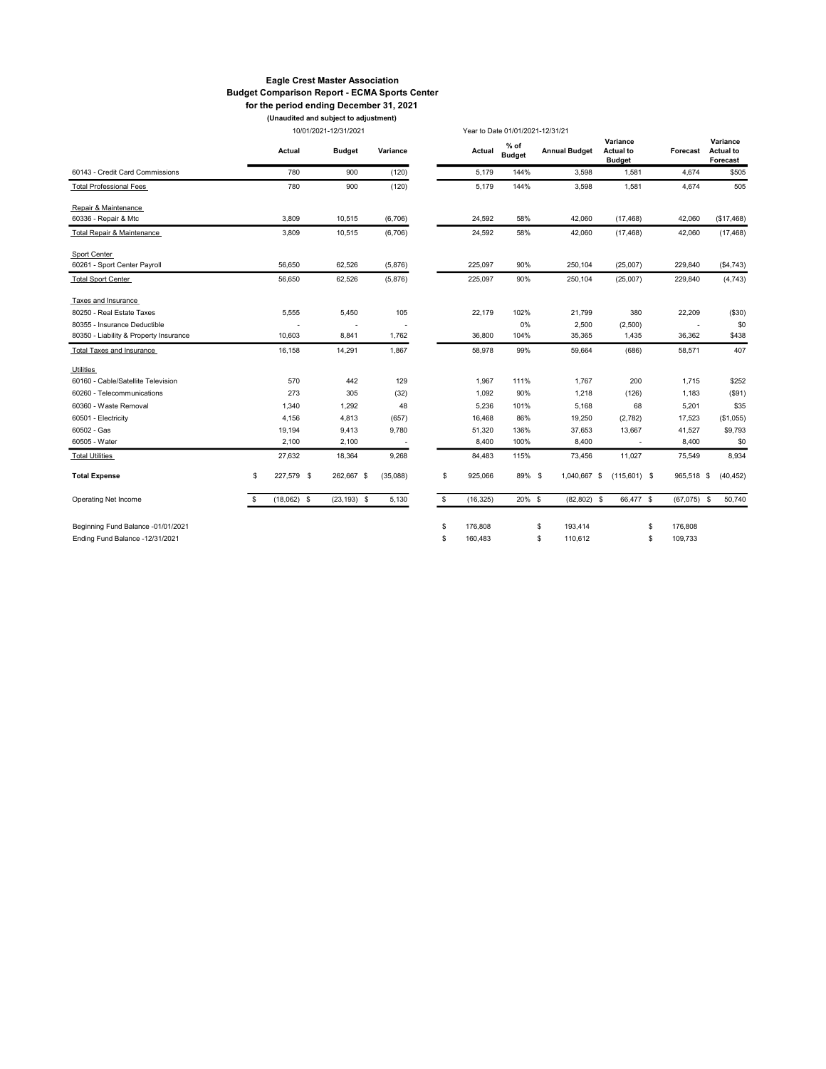#### Eagle Crest Master Association Budget Comparison Report - ECMA Sports Center for the period ending December 31, 2021

10/01/2021-12/31/2021 (Unaudited and subject to adjustment)

|                                        | 10/01/2021-12/31/2021 |               |                |          |    |           | Year to Date 01/01/2021-12/31/21 |                      |                                               |               |                                          |
|----------------------------------------|-----------------------|---------------|----------------|----------|----|-----------|----------------------------------|----------------------|-----------------------------------------------|---------------|------------------------------------------|
|                                        |                       | Actual        | <b>Budget</b>  | Variance |    | Actual    | $%$ of<br><b>Budget</b>          | <b>Annual Budget</b> | Variance<br><b>Actual to</b><br><b>Budget</b> | Forecast      | Variance<br><b>Actual to</b><br>Forecast |
| 60143 - Credit Card Commissions        |                       | 780           | 900            | (120)    |    | 5,179     | 144%                             | 3,598                | 1,581                                         | 4,674         | \$505                                    |
| <b>Total Professional Fees</b>         |                       | 780           | 900            | (120)    |    | 5,179     | 144%                             | 3,598                | 1,581                                         | 4,674         | 505                                      |
| Repair & Maintenance                   |                       |               |                |          |    |           |                                  |                      |                                               |               |                                          |
| 60336 - Repair & Mtc                   |                       | 3.809         | 10,515         | (6,706)  |    | 24,592    | 58%                              | 42,060               | (17, 468)                                     | 42,060        | (\$17,468)                               |
| Total Repair & Maintenance             |                       | 3,809         | 10,515         | (6,706)  |    | 24,592    | 58%                              | 42,060               | (17, 468)                                     | 42,060        | (17, 468)                                |
| Sport Center                           |                       |               |                |          |    |           |                                  |                      |                                               |               |                                          |
| 60261 - Sport Center Payroll           |                       | 56,650        | 62,526         | (5,876)  |    | 225,097   | 90%                              | 250,104              | (25,007)                                      | 229,840       | (\$4,743)                                |
| <b>Total Sport Center</b>              |                       | 56,650        | 62,526         | (5,876)  |    | 225,097   | 90%                              | 250,104              | (25,007)                                      | 229,840       | (4, 743)                                 |
| Taxes and Insurance                    |                       |               |                |          |    |           |                                  |                      |                                               |               |                                          |
| 80250 - Real Estate Taxes              |                       | 5,555         | 5,450          | 105      |    | 22,179    | 102%                             | 21,799               | 380                                           | 22,209        | (\$30)                                   |
| 80355 - Insurance Deductible           |                       |               |                |          |    |           | 0%                               | 2,500                | (2,500)                                       |               | \$0                                      |
| 80350 - Liability & Property Insurance |                       | 10,603        | 8,841          | 1,762    |    | 36,800    | 104%                             | 35,365               | 1,435                                         | 36,362        | \$438                                    |
| Total Taxes and Insurance              |                       | 16,158        | 14,291         | 1,867    |    | 58,978    | 99%                              | 59,664               | (686)                                         | 58,571        | 407                                      |
| Utilities                              |                       |               |                |          |    |           |                                  |                      |                                               |               |                                          |
| 60160 - Cable/Satellite Television     |                       | 570           | 442            | 129      |    | 1,967     | 111%                             | 1,767                | 200                                           | 1,715         | \$252                                    |
| 60260 - Telecommunications             |                       | 273           | 305            | (32)     |    | 1,092     | 90%                              | 1,218                | (126)                                         | 1,183         | (\$91)                                   |
| 60360 - Waste Removal                  |                       | 1,340         | 1,292          | 48       |    | 5,236     | 101%                             | 5,168                | 68                                            | 5,201         | \$35                                     |
| 60501 - Electricity                    |                       | 4,156         | 4,813          | (657)    |    | 16,468    | 86%                              | 19,250               | (2,782)                                       | 17,523        | (\$1,055)                                |
| 60502 - Gas                            |                       | 19,194        | 9,413          | 9,780    |    | 51,320    | 136%                             | 37,653               | 13,667                                        | 41,527        | \$9,793                                  |
| 60505 - Water                          |                       | 2,100         | 2,100          | ÷,       |    | 8,400     | 100%                             | 8,400                | $\overline{\phantom{a}}$                      | 8,400         | \$0                                      |
| <b>Total Utilities</b>                 |                       | 27,632        | 18,364         | 9,268    |    | 84,483    | 115%                             | 73,456               | 11,027                                        | 75,549        | 8,934                                    |
| <b>Total Expense</b>                   | \$                    | 227,579 \$    | 262,667 \$     | (35,088) | \$ | 925,066   | 89% \$                           | 1,040,667 \$         | $(115,601)$ \$                                | 965,518 \$    | (40, 452)                                |
| Operating Net Income                   | \$.                   | $(18,062)$ \$ | $(23, 193)$ \$ | 5,130    | \$ | (16, 325) | 20% \$                           | $(82, 802)$ \$       | 66,477 \$                                     | (67,075)      | S,<br>50,740                             |
| Beginning Fund Balance -01/01/2021     |                       |               |                |          | \$ | 176,808   |                                  | 193,414<br>S         |                                               | 176,808<br>\$ |                                          |
| Ending Fund Balance -12/31/2021        |                       |               |                |          | \$ | 160,483   |                                  | \$<br>110,612        |                                               | 109,733<br>\$ |                                          |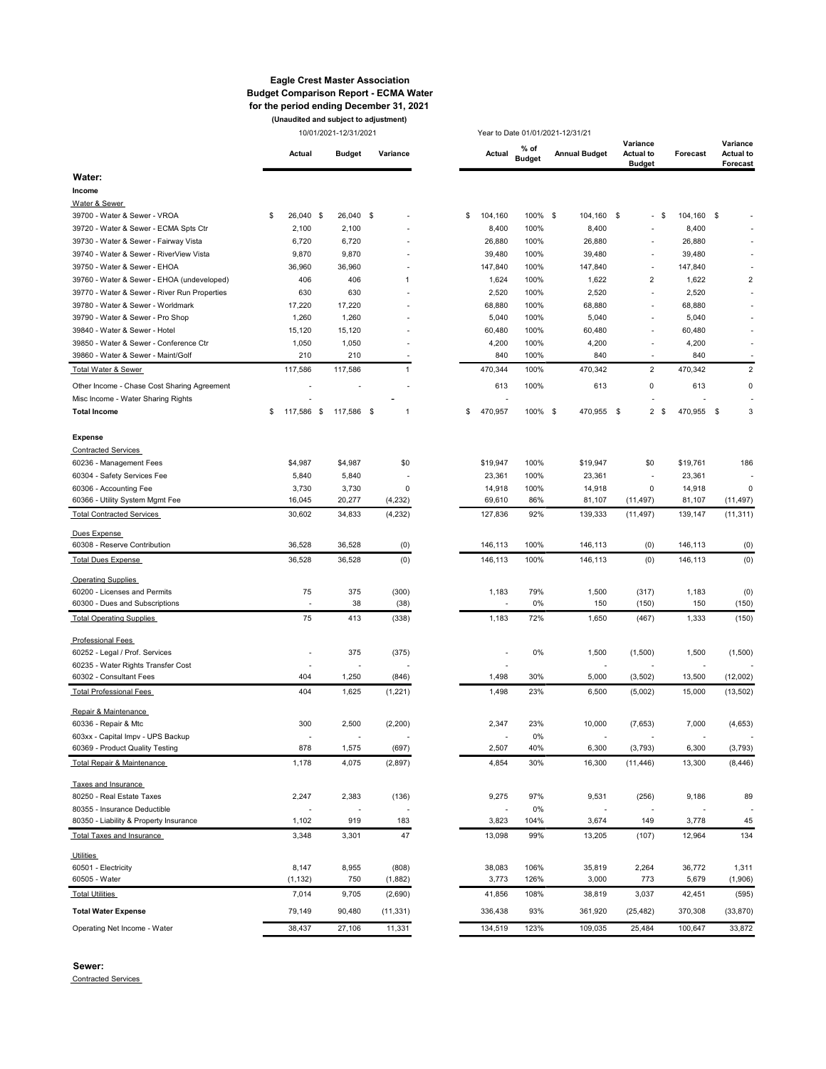#### Eagle Crest Master Association Budget Comparison Report - ECMA Water for the period ending December 31, 2021 (Unaudited and subject to adjustment)

10/01/2021-12/31/2021 Year to Date 01/01/2021-12/31/21

| Water:<br>Income<br>Water & Sewer<br>26,040 \$<br>26,040 \$<br>104,160<br>100% \$<br>104,160<br>104,160<br>39700 - Water & Sewer - VROA<br>\$<br>\$<br>- \$<br>\$<br>\$<br>$\overline{\phantom{a}}$<br>2,100<br>100%<br>8,400<br>8,400<br>39720 - Water & Sewer - ECMA Spts Ctr<br>2,100<br>8,400<br>6,720<br>39730 - Water & Sewer - Fairway Vista<br>6,720<br>26,880<br>100%<br>26,880<br>26,880<br>39740 - Water & Sewer - RiverView Vista<br>9,870<br>9,870<br>39,480<br>100%<br>39,480<br>39,480<br>$\overline{a}$<br>39750 - Water & Sewer - EHOA<br>36,960<br>36,960<br>147,840<br>100%<br>147,840<br>147,840<br>L,<br>$\overline{c}$<br>$\overline{2}$<br>39760 - Water & Sewer - EHOA (undeveloped)<br>406<br>406<br>1,624<br>100%<br>1,622<br>1,622<br>1<br>630<br>630<br>2,520<br>100%<br>2,520<br>2,520<br>39770 - Water & Sewer - River Run Properties<br>L,<br>39780 - Water & Sewer - Worldmark<br>17,220<br>17,220<br>68,880<br>100%<br>68,880<br>68,880<br>$\overline{a}$<br>39790 - Water & Sewer - Pro Shop<br>1,260<br>1,260<br>5,040<br>100%<br>5,040<br>5,040<br>$\overline{a}$<br>39840 - Water & Sewer - Hotel<br>15,120<br>15,120<br>60,480<br>100%<br>60,480<br>60,480<br>L,<br>39850 - Water & Sewer - Conference Ctr<br>1,050<br>1,050<br>4,200<br>100%<br>4,200<br>4,200<br>$\overline{a}$<br>$\overline{\phantom{a}}$<br>210<br>210<br>840<br>39860 - Water & Sewer - Maint/Golf<br>840<br>100%<br>840<br>$\overline{\phantom{a}}$<br>Total Water & Sewer<br>117,586<br>117,586<br>470,344<br>100%<br>470,342<br>2<br>470,342<br>$\overline{2}$<br>1<br>Other Income - Chase Cost Sharing Agreement<br>100%<br>613<br>0<br>613<br>0<br>613<br>Misc Income - Water Sharing Rights<br>117,586 \$<br>470,957<br>100% \$<br>470,955<br>3<br><b>Total Income</b><br>\$<br>117,586 \$<br>\$<br>470,955 \$<br>2<br>\$<br>- \$<br>1<br><b>Expense</b><br><b>Contracted Services</b><br>\$4,987<br>\$4,987<br>100%<br>186<br>60236 - Management Fees<br>\$0<br>\$19,947<br>\$19,947<br>\$0<br>\$19,761<br>5,840<br>100%<br>60304 - Safety Services Fee<br>5,840<br>23,361<br>23,361<br>23,361<br>$\overline{a}$<br>3,730<br>3,730<br>0<br>$\circ$<br>60306 - Accounting Fee<br>0<br>14,918<br>100%<br>14,918<br>14,918<br>16,045<br>60366 - Utility System Mgmt Fee<br>20,277<br>(4, 232)<br>69,610<br>86%<br>81,107<br>(11, 497)<br>81,107<br>(11, 497)<br>(11, 311)<br><b>Total Contracted Services</b><br>30,602<br>34,833<br>(4,232)<br>127,836<br>92%<br>139,333<br>(11, 497)<br>139,147<br>Dues Expense<br>(0)<br>60308 - Reserve Contribution<br>36,528<br>36,528<br>(0)<br>146,113<br>100%<br>146,113<br>146,113<br>(0)<br>36,528<br>36,528<br>(0)<br>146,113<br>100%<br>146,113<br>(0)<br>(0)<br><b>Total Dues Expense</b><br>146,113<br><b>Operating Supplies</b><br>375<br>(300)<br>79%<br>1,500<br>60200 - Licenses and Permits<br>75<br>1,183<br>(317)<br>1,183<br>(0)<br>38<br>0%<br>60300 - Dues and Subscriptions<br>(38)<br>150<br>(150)<br>150<br>(150)<br>÷,<br>$\overline{\phantom{a}}$<br>75<br><b>Total Operating Supplies</b><br>413<br>(338)<br>1,183<br>72%<br>1,650<br>(467)<br>1,333<br>(150)<br><b>Professional Fees</b><br>60252 - Legal / Prof. Services<br>375<br>(375)<br>0%<br>1,500<br>(1,500)<br>1,500<br>(1,500)<br>60235 - Water Rights Transfer Cost<br>60302 - Consultant Fees<br>404<br>1,250<br>(846)<br>1,498<br>30%<br>5,000<br>(3, 502)<br>13,500<br>(12,002)<br>404<br>1,625<br>23%<br>6,500<br>(5,002)<br>15,000<br><b>Total Professional Fees</b><br>(1,221)<br>1,498<br>(13, 502)<br>Repair & Maintenance<br>300<br>2,500<br>(2, 200)<br>2,347<br>23%<br>10,000<br>7,000<br>60336 - Repair & Mtc<br>(7,653)<br>(4,653)<br>603xx - Capital Impv - UPS Backup<br>0%<br>$\overline{\phantom{a}}$<br>878<br>(697)<br>2,507<br>40%<br>6,300<br>60369 - Product Quality Testing<br>1,575<br>(3, 793)<br>6,300<br>(3,793)<br>(2, 897)<br>4,854<br>Total Repair & Maintenance<br>1,178<br>4,075<br>30%<br>16,300<br>(11, 446)<br>13,300<br>(8, 446)<br>Taxes and Insurance<br>80250 - Real Estate Taxes<br>2,247<br>2,383<br>(136)<br>9,275<br>97%<br>9,531<br>(256)<br>9,186<br>89<br>80355 - Insurance Deductible<br>0%<br>$\overline{\phantom{a}}$<br>$\overline{\phantom{a}}$<br>80350 - Liability & Property Insurance<br>1,102<br>919<br>3,823<br>104%<br>3,674<br>149<br>3,778<br>45<br>183<br>Total Taxes and Insurance<br>3,348<br>3,301<br>47<br>13,098<br>99%<br>13,205<br>(107)<br>12,964<br>134<br><b>Utilities</b><br>60501 - Electricity<br>8,147<br>8,955<br>(808)<br>38,083<br>106%<br>35,819<br>2,264<br>36,772<br>1,311<br>60505 - Water<br>3,773<br>126%<br>3,000<br>773<br>5,679<br>(1, 132)<br>750<br>(1,882)<br>(1,906)<br><b>Total Utilities</b><br>7,014<br>9,705<br>(2,690)<br>41,856<br>108%<br>38,819<br>3,037<br>42,451<br>(595)<br><b>Total Water Expense</b><br>79,149<br>336,438<br>93%<br>361,920<br>370,308<br>90,480<br>(11, 331)<br>(25, 482)<br>(33, 870)<br>38,437<br>27,106<br>11,331<br>134,519<br>123%<br>33,872<br>Operating Net Income - Water<br>109,035<br>25,484<br>100,647 |  | Actual | <b>Budget</b> | Variance | Actual | % of<br><b>Budget</b> | <b>Annual Budget</b> | Variance<br><b>Actual to</b><br><b>Budget</b> | Forecast | Variance<br><b>Actual to</b><br>Forecast |
|----------------------------------------------------------------------------------------------------------------------------------------------------------------------------------------------------------------------------------------------------------------------------------------------------------------------------------------------------------------------------------------------------------------------------------------------------------------------------------------------------------------------------------------------------------------------------------------------------------------------------------------------------------------------------------------------------------------------------------------------------------------------------------------------------------------------------------------------------------------------------------------------------------------------------------------------------------------------------------------------------------------------------------------------------------------------------------------------------------------------------------------------------------------------------------------------------------------------------------------------------------------------------------------------------------------------------------------------------------------------------------------------------------------------------------------------------------------------------------------------------------------------------------------------------------------------------------------------------------------------------------------------------------------------------------------------------------------------------------------------------------------------------------------------------------------------------------------------------------------------------------------------------------------------------------------------------------------------------------------------------------------------------------------------------------------------------------------------------------------------------------------------------------------------------------------------------------------------------------------------------------------------------------------------------------------------------------------------------------------------------------------------------------------------------------------------------------------------------------------------------------------------------------------------------------------------------------------------------------------------------------------------------------------------------------------------------------------------------------------------------------------------------------------------------------------------------------------------------------------------------------------------------------------------------------------------------------------------------------------------------------------------------------------------------------------------------------------------------------------------------------------------------------------------------------------------------------------------------------------------------------------------------------------------------------------------------------------------------------------------------------------------------------------------------------------------------------------------------------------------------------------------------------------------------------------------------------------------------------------------------------------------------------------------------------------------------------------------------------------------------------------------------------------------------------------------------------------------------------------------------------------------------------------------------------------------------------------------------------------------------------------------------------------------------------------------------------------------------------------------------------------------------------------------------------------------------------------------------------------------------------------------------------------------------------------------------------------------------------------------------------------------------------------------------------------------------------------------------------------------------------------------------------------------------------------------------------------------------------------------------------------------------------------------------------------------------------------------------------------------------------------------------------------------------------------------------------------------------------------------------------------------------------------------------------------------------------------------------------------------------------------------------------------------------------------------------------------|--|--------|---------------|----------|--------|-----------------------|----------------------|-----------------------------------------------|----------|------------------------------------------|
|                                                                                                                                                                                                                                                                                                                                                                                                                                                                                                                                                                                                                                                                                                                                                                                                                                                                                                                                                                                                                                                                                                                                                                                                                                                                                                                                                                                                                                                                                                                                                                                                                                                                                                                                                                                                                                                                                                                                                                                                                                                                                                                                                                                                                                                                                                                                                                                                                                                                                                                                                                                                                                                                                                                                                                                                                                                                                                                                                                                                                                                                                                                                                                                                                                                                                                                                                                                                                                                                                                                                                                                                                                                                                                                                                                                                                                                                                                                                                                                                                                                                                                                                                                                                                                                                                                                                                                                                                                                                                                                                                                                                                                                                                                                                                                                                                                                                                                                                                                                                                                                                                        |  |        |               |          |        |                       |                      |                                               |          |                                          |
|                                                                                                                                                                                                                                                                                                                                                                                                                                                                                                                                                                                                                                                                                                                                                                                                                                                                                                                                                                                                                                                                                                                                                                                                                                                                                                                                                                                                                                                                                                                                                                                                                                                                                                                                                                                                                                                                                                                                                                                                                                                                                                                                                                                                                                                                                                                                                                                                                                                                                                                                                                                                                                                                                                                                                                                                                                                                                                                                                                                                                                                                                                                                                                                                                                                                                                                                                                                                                                                                                                                                                                                                                                                                                                                                                                                                                                                                                                                                                                                                                                                                                                                                                                                                                                                                                                                                                                                                                                                                                                                                                                                                                                                                                                                                                                                                                                                                                                                                                                                                                                                                                        |  |        |               |          |        |                       |                      |                                               |          |                                          |
|                                                                                                                                                                                                                                                                                                                                                                                                                                                                                                                                                                                                                                                                                                                                                                                                                                                                                                                                                                                                                                                                                                                                                                                                                                                                                                                                                                                                                                                                                                                                                                                                                                                                                                                                                                                                                                                                                                                                                                                                                                                                                                                                                                                                                                                                                                                                                                                                                                                                                                                                                                                                                                                                                                                                                                                                                                                                                                                                                                                                                                                                                                                                                                                                                                                                                                                                                                                                                                                                                                                                                                                                                                                                                                                                                                                                                                                                                                                                                                                                                                                                                                                                                                                                                                                                                                                                                                                                                                                                                                                                                                                                                                                                                                                                                                                                                                                                                                                                                                                                                                                                                        |  |        |               |          |        |                       |                      |                                               |          |                                          |
|                                                                                                                                                                                                                                                                                                                                                                                                                                                                                                                                                                                                                                                                                                                                                                                                                                                                                                                                                                                                                                                                                                                                                                                                                                                                                                                                                                                                                                                                                                                                                                                                                                                                                                                                                                                                                                                                                                                                                                                                                                                                                                                                                                                                                                                                                                                                                                                                                                                                                                                                                                                                                                                                                                                                                                                                                                                                                                                                                                                                                                                                                                                                                                                                                                                                                                                                                                                                                                                                                                                                                                                                                                                                                                                                                                                                                                                                                                                                                                                                                                                                                                                                                                                                                                                                                                                                                                                                                                                                                                                                                                                                                                                                                                                                                                                                                                                                                                                                                                                                                                                                                        |  |        |               |          |        |                       |                      |                                               |          |                                          |
|                                                                                                                                                                                                                                                                                                                                                                                                                                                                                                                                                                                                                                                                                                                                                                                                                                                                                                                                                                                                                                                                                                                                                                                                                                                                                                                                                                                                                                                                                                                                                                                                                                                                                                                                                                                                                                                                                                                                                                                                                                                                                                                                                                                                                                                                                                                                                                                                                                                                                                                                                                                                                                                                                                                                                                                                                                                                                                                                                                                                                                                                                                                                                                                                                                                                                                                                                                                                                                                                                                                                                                                                                                                                                                                                                                                                                                                                                                                                                                                                                                                                                                                                                                                                                                                                                                                                                                                                                                                                                                                                                                                                                                                                                                                                                                                                                                                                                                                                                                                                                                                                                        |  |        |               |          |        |                       |                      |                                               |          |                                          |
|                                                                                                                                                                                                                                                                                                                                                                                                                                                                                                                                                                                                                                                                                                                                                                                                                                                                                                                                                                                                                                                                                                                                                                                                                                                                                                                                                                                                                                                                                                                                                                                                                                                                                                                                                                                                                                                                                                                                                                                                                                                                                                                                                                                                                                                                                                                                                                                                                                                                                                                                                                                                                                                                                                                                                                                                                                                                                                                                                                                                                                                                                                                                                                                                                                                                                                                                                                                                                                                                                                                                                                                                                                                                                                                                                                                                                                                                                                                                                                                                                                                                                                                                                                                                                                                                                                                                                                                                                                                                                                                                                                                                                                                                                                                                                                                                                                                                                                                                                                                                                                                                                        |  |        |               |          |        |                       |                      |                                               |          |                                          |
|                                                                                                                                                                                                                                                                                                                                                                                                                                                                                                                                                                                                                                                                                                                                                                                                                                                                                                                                                                                                                                                                                                                                                                                                                                                                                                                                                                                                                                                                                                                                                                                                                                                                                                                                                                                                                                                                                                                                                                                                                                                                                                                                                                                                                                                                                                                                                                                                                                                                                                                                                                                                                                                                                                                                                                                                                                                                                                                                                                                                                                                                                                                                                                                                                                                                                                                                                                                                                                                                                                                                                                                                                                                                                                                                                                                                                                                                                                                                                                                                                                                                                                                                                                                                                                                                                                                                                                                                                                                                                                                                                                                                                                                                                                                                                                                                                                                                                                                                                                                                                                                                                        |  |        |               |          |        |                       |                      |                                               |          |                                          |
|                                                                                                                                                                                                                                                                                                                                                                                                                                                                                                                                                                                                                                                                                                                                                                                                                                                                                                                                                                                                                                                                                                                                                                                                                                                                                                                                                                                                                                                                                                                                                                                                                                                                                                                                                                                                                                                                                                                                                                                                                                                                                                                                                                                                                                                                                                                                                                                                                                                                                                                                                                                                                                                                                                                                                                                                                                                                                                                                                                                                                                                                                                                                                                                                                                                                                                                                                                                                                                                                                                                                                                                                                                                                                                                                                                                                                                                                                                                                                                                                                                                                                                                                                                                                                                                                                                                                                                                                                                                                                                                                                                                                                                                                                                                                                                                                                                                                                                                                                                                                                                                                                        |  |        |               |          |        |                       |                      |                                               |          |                                          |
|                                                                                                                                                                                                                                                                                                                                                                                                                                                                                                                                                                                                                                                                                                                                                                                                                                                                                                                                                                                                                                                                                                                                                                                                                                                                                                                                                                                                                                                                                                                                                                                                                                                                                                                                                                                                                                                                                                                                                                                                                                                                                                                                                                                                                                                                                                                                                                                                                                                                                                                                                                                                                                                                                                                                                                                                                                                                                                                                                                                                                                                                                                                                                                                                                                                                                                                                                                                                                                                                                                                                                                                                                                                                                                                                                                                                                                                                                                                                                                                                                                                                                                                                                                                                                                                                                                                                                                                                                                                                                                                                                                                                                                                                                                                                                                                                                                                                                                                                                                                                                                                                                        |  |        |               |          |        |                       |                      |                                               |          |                                          |
|                                                                                                                                                                                                                                                                                                                                                                                                                                                                                                                                                                                                                                                                                                                                                                                                                                                                                                                                                                                                                                                                                                                                                                                                                                                                                                                                                                                                                                                                                                                                                                                                                                                                                                                                                                                                                                                                                                                                                                                                                                                                                                                                                                                                                                                                                                                                                                                                                                                                                                                                                                                                                                                                                                                                                                                                                                                                                                                                                                                                                                                                                                                                                                                                                                                                                                                                                                                                                                                                                                                                                                                                                                                                                                                                                                                                                                                                                                                                                                                                                                                                                                                                                                                                                                                                                                                                                                                                                                                                                                                                                                                                                                                                                                                                                                                                                                                                                                                                                                                                                                                                                        |  |        |               |          |        |                       |                      |                                               |          |                                          |
|                                                                                                                                                                                                                                                                                                                                                                                                                                                                                                                                                                                                                                                                                                                                                                                                                                                                                                                                                                                                                                                                                                                                                                                                                                                                                                                                                                                                                                                                                                                                                                                                                                                                                                                                                                                                                                                                                                                                                                                                                                                                                                                                                                                                                                                                                                                                                                                                                                                                                                                                                                                                                                                                                                                                                                                                                                                                                                                                                                                                                                                                                                                                                                                                                                                                                                                                                                                                                                                                                                                                                                                                                                                                                                                                                                                                                                                                                                                                                                                                                                                                                                                                                                                                                                                                                                                                                                                                                                                                                                                                                                                                                                                                                                                                                                                                                                                                                                                                                                                                                                                                                        |  |        |               |          |        |                       |                      |                                               |          |                                          |
|                                                                                                                                                                                                                                                                                                                                                                                                                                                                                                                                                                                                                                                                                                                                                                                                                                                                                                                                                                                                                                                                                                                                                                                                                                                                                                                                                                                                                                                                                                                                                                                                                                                                                                                                                                                                                                                                                                                                                                                                                                                                                                                                                                                                                                                                                                                                                                                                                                                                                                                                                                                                                                                                                                                                                                                                                                                                                                                                                                                                                                                                                                                                                                                                                                                                                                                                                                                                                                                                                                                                                                                                                                                                                                                                                                                                                                                                                                                                                                                                                                                                                                                                                                                                                                                                                                                                                                                                                                                                                                                                                                                                                                                                                                                                                                                                                                                                                                                                                                                                                                                                                        |  |        |               |          |        |                       |                      |                                               |          |                                          |
|                                                                                                                                                                                                                                                                                                                                                                                                                                                                                                                                                                                                                                                                                                                                                                                                                                                                                                                                                                                                                                                                                                                                                                                                                                                                                                                                                                                                                                                                                                                                                                                                                                                                                                                                                                                                                                                                                                                                                                                                                                                                                                                                                                                                                                                                                                                                                                                                                                                                                                                                                                                                                                                                                                                                                                                                                                                                                                                                                                                                                                                                                                                                                                                                                                                                                                                                                                                                                                                                                                                                                                                                                                                                                                                                                                                                                                                                                                                                                                                                                                                                                                                                                                                                                                                                                                                                                                                                                                                                                                                                                                                                                                                                                                                                                                                                                                                                                                                                                                                                                                                                                        |  |        |               |          |        |                       |                      |                                               |          |                                          |
|                                                                                                                                                                                                                                                                                                                                                                                                                                                                                                                                                                                                                                                                                                                                                                                                                                                                                                                                                                                                                                                                                                                                                                                                                                                                                                                                                                                                                                                                                                                                                                                                                                                                                                                                                                                                                                                                                                                                                                                                                                                                                                                                                                                                                                                                                                                                                                                                                                                                                                                                                                                                                                                                                                                                                                                                                                                                                                                                                                                                                                                                                                                                                                                                                                                                                                                                                                                                                                                                                                                                                                                                                                                                                                                                                                                                                                                                                                                                                                                                                                                                                                                                                                                                                                                                                                                                                                                                                                                                                                                                                                                                                                                                                                                                                                                                                                                                                                                                                                                                                                                                                        |  |        |               |          |        |                       |                      |                                               |          |                                          |
|                                                                                                                                                                                                                                                                                                                                                                                                                                                                                                                                                                                                                                                                                                                                                                                                                                                                                                                                                                                                                                                                                                                                                                                                                                                                                                                                                                                                                                                                                                                                                                                                                                                                                                                                                                                                                                                                                                                                                                                                                                                                                                                                                                                                                                                                                                                                                                                                                                                                                                                                                                                                                                                                                                                                                                                                                                                                                                                                                                                                                                                                                                                                                                                                                                                                                                                                                                                                                                                                                                                                                                                                                                                                                                                                                                                                                                                                                                                                                                                                                                                                                                                                                                                                                                                                                                                                                                                                                                                                                                                                                                                                                                                                                                                                                                                                                                                                                                                                                                                                                                                                                        |  |        |               |          |        |                       |                      |                                               |          |                                          |
|                                                                                                                                                                                                                                                                                                                                                                                                                                                                                                                                                                                                                                                                                                                                                                                                                                                                                                                                                                                                                                                                                                                                                                                                                                                                                                                                                                                                                                                                                                                                                                                                                                                                                                                                                                                                                                                                                                                                                                                                                                                                                                                                                                                                                                                                                                                                                                                                                                                                                                                                                                                                                                                                                                                                                                                                                                                                                                                                                                                                                                                                                                                                                                                                                                                                                                                                                                                                                                                                                                                                                                                                                                                                                                                                                                                                                                                                                                                                                                                                                                                                                                                                                                                                                                                                                                                                                                                                                                                                                                                                                                                                                                                                                                                                                                                                                                                                                                                                                                                                                                                                                        |  |        |               |          |        |                       |                      |                                               |          |                                          |
|                                                                                                                                                                                                                                                                                                                                                                                                                                                                                                                                                                                                                                                                                                                                                                                                                                                                                                                                                                                                                                                                                                                                                                                                                                                                                                                                                                                                                                                                                                                                                                                                                                                                                                                                                                                                                                                                                                                                                                                                                                                                                                                                                                                                                                                                                                                                                                                                                                                                                                                                                                                                                                                                                                                                                                                                                                                                                                                                                                                                                                                                                                                                                                                                                                                                                                                                                                                                                                                                                                                                                                                                                                                                                                                                                                                                                                                                                                                                                                                                                                                                                                                                                                                                                                                                                                                                                                                                                                                                                                                                                                                                                                                                                                                                                                                                                                                                                                                                                                                                                                                                                        |  |        |               |          |        |                       |                      |                                               |          |                                          |
|                                                                                                                                                                                                                                                                                                                                                                                                                                                                                                                                                                                                                                                                                                                                                                                                                                                                                                                                                                                                                                                                                                                                                                                                                                                                                                                                                                                                                                                                                                                                                                                                                                                                                                                                                                                                                                                                                                                                                                                                                                                                                                                                                                                                                                                                                                                                                                                                                                                                                                                                                                                                                                                                                                                                                                                                                                                                                                                                                                                                                                                                                                                                                                                                                                                                                                                                                                                                                                                                                                                                                                                                                                                                                                                                                                                                                                                                                                                                                                                                                                                                                                                                                                                                                                                                                                                                                                                                                                                                                                                                                                                                                                                                                                                                                                                                                                                                                                                                                                                                                                                                                        |  |        |               |          |        |                       |                      |                                               |          |                                          |
|                                                                                                                                                                                                                                                                                                                                                                                                                                                                                                                                                                                                                                                                                                                                                                                                                                                                                                                                                                                                                                                                                                                                                                                                                                                                                                                                                                                                                                                                                                                                                                                                                                                                                                                                                                                                                                                                                                                                                                                                                                                                                                                                                                                                                                                                                                                                                                                                                                                                                                                                                                                                                                                                                                                                                                                                                                                                                                                                                                                                                                                                                                                                                                                                                                                                                                                                                                                                                                                                                                                                                                                                                                                                                                                                                                                                                                                                                                                                                                                                                                                                                                                                                                                                                                                                                                                                                                                                                                                                                                                                                                                                                                                                                                                                                                                                                                                                                                                                                                                                                                                                                        |  |        |               |          |        |                       |                      |                                               |          |                                          |
|                                                                                                                                                                                                                                                                                                                                                                                                                                                                                                                                                                                                                                                                                                                                                                                                                                                                                                                                                                                                                                                                                                                                                                                                                                                                                                                                                                                                                                                                                                                                                                                                                                                                                                                                                                                                                                                                                                                                                                                                                                                                                                                                                                                                                                                                                                                                                                                                                                                                                                                                                                                                                                                                                                                                                                                                                                                                                                                                                                                                                                                                                                                                                                                                                                                                                                                                                                                                                                                                                                                                                                                                                                                                                                                                                                                                                                                                                                                                                                                                                                                                                                                                                                                                                                                                                                                                                                                                                                                                                                                                                                                                                                                                                                                                                                                                                                                                                                                                                                                                                                                                                        |  |        |               |          |        |                       |                      |                                               |          |                                          |
|                                                                                                                                                                                                                                                                                                                                                                                                                                                                                                                                                                                                                                                                                                                                                                                                                                                                                                                                                                                                                                                                                                                                                                                                                                                                                                                                                                                                                                                                                                                                                                                                                                                                                                                                                                                                                                                                                                                                                                                                                                                                                                                                                                                                                                                                                                                                                                                                                                                                                                                                                                                                                                                                                                                                                                                                                                                                                                                                                                                                                                                                                                                                                                                                                                                                                                                                                                                                                                                                                                                                                                                                                                                                                                                                                                                                                                                                                                                                                                                                                                                                                                                                                                                                                                                                                                                                                                                                                                                                                                                                                                                                                                                                                                                                                                                                                                                                                                                                                                                                                                                                                        |  |        |               |          |        |                       |                      |                                               |          |                                          |
|                                                                                                                                                                                                                                                                                                                                                                                                                                                                                                                                                                                                                                                                                                                                                                                                                                                                                                                                                                                                                                                                                                                                                                                                                                                                                                                                                                                                                                                                                                                                                                                                                                                                                                                                                                                                                                                                                                                                                                                                                                                                                                                                                                                                                                                                                                                                                                                                                                                                                                                                                                                                                                                                                                                                                                                                                                                                                                                                                                                                                                                                                                                                                                                                                                                                                                                                                                                                                                                                                                                                                                                                                                                                                                                                                                                                                                                                                                                                                                                                                                                                                                                                                                                                                                                                                                                                                                                                                                                                                                                                                                                                                                                                                                                                                                                                                                                                                                                                                                                                                                                                                        |  |        |               |          |        |                       |                      |                                               |          |                                          |
|                                                                                                                                                                                                                                                                                                                                                                                                                                                                                                                                                                                                                                                                                                                                                                                                                                                                                                                                                                                                                                                                                                                                                                                                                                                                                                                                                                                                                                                                                                                                                                                                                                                                                                                                                                                                                                                                                                                                                                                                                                                                                                                                                                                                                                                                                                                                                                                                                                                                                                                                                                                                                                                                                                                                                                                                                                                                                                                                                                                                                                                                                                                                                                                                                                                                                                                                                                                                                                                                                                                                                                                                                                                                                                                                                                                                                                                                                                                                                                                                                                                                                                                                                                                                                                                                                                                                                                                                                                                                                                                                                                                                                                                                                                                                                                                                                                                                                                                                                                                                                                                                                        |  |        |               |          |        |                       |                      |                                               |          |                                          |
|                                                                                                                                                                                                                                                                                                                                                                                                                                                                                                                                                                                                                                                                                                                                                                                                                                                                                                                                                                                                                                                                                                                                                                                                                                                                                                                                                                                                                                                                                                                                                                                                                                                                                                                                                                                                                                                                                                                                                                                                                                                                                                                                                                                                                                                                                                                                                                                                                                                                                                                                                                                                                                                                                                                                                                                                                                                                                                                                                                                                                                                                                                                                                                                                                                                                                                                                                                                                                                                                                                                                                                                                                                                                                                                                                                                                                                                                                                                                                                                                                                                                                                                                                                                                                                                                                                                                                                                                                                                                                                                                                                                                                                                                                                                                                                                                                                                                                                                                                                                                                                                                                        |  |        |               |          |        |                       |                      |                                               |          |                                          |
|                                                                                                                                                                                                                                                                                                                                                                                                                                                                                                                                                                                                                                                                                                                                                                                                                                                                                                                                                                                                                                                                                                                                                                                                                                                                                                                                                                                                                                                                                                                                                                                                                                                                                                                                                                                                                                                                                                                                                                                                                                                                                                                                                                                                                                                                                                                                                                                                                                                                                                                                                                                                                                                                                                                                                                                                                                                                                                                                                                                                                                                                                                                                                                                                                                                                                                                                                                                                                                                                                                                                                                                                                                                                                                                                                                                                                                                                                                                                                                                                                                                                                                                                                                                                                                                                                                                                                                                                                                                                                                                                                                                                                                                                                                                                                                                                                                                                                                                                                                                                                                                                                        |  |        |               |          |        |                       |                      |                                               |          |                                          |
|                                                                                                                                                                                                                                                                                                                                                                                                                                                                                                                                                                                                                                                                                                                                                                                                                                                                                                                                                                                                                                                                                                                                                                                                                                                                                                                                                                                                                                                                                                                                                                                                                                                                                                                                                                                                                                                                                                                                                                                                                                                                                                                                                                                                                                                                                                                                                                                                                                                                                                                                                                                                                                                                                                                                                                                                                                                                                                                                                                                                                                                                                                                                                                                                                                                                                                                                                                                                                                                                                                                                                                                                                                                                                                                                                                                                                                                                                                                                                                                                                                                                                                                                                                                                                                                                                                                                                                                                                                                                                                                                                                                                                                                                                                                                                                                                                                                                                                                                                                                                                                                                                        |  |        |               |          |        |                       |                      |                                               |          |                                          |
|                                                                                                                                                                                                                                                                                                                                                                                                                                                                                                                                                                                                                                                                                                                                                                                                                                                                                                                                                                                                                                                                                                                                                                                                                                                                                                                                                                                                                                                                                                                                                                                                                                                                                                                                                                                                                                                                                                                                                                                                                                                                                                                                                                                                                                                                                                                                                                                                                                                                                                                                                                                                                                                                                                                                                                                                                                                                                                                                                                                                                                                                                                                                                                                                                                                                                                                                                                                                                                                                                                                                                                                                                                                                                                                                                                                                                                                                                                                                                                                                                                                                                                                                                                                                                                                                                                                                                                                                                                                                                                                                                                                                                                                                                                                                                                                                                                                                                                                                                                                                                                                                                        |  |        |               |          |        |                       |                      |                                               |          |                                          |
|                                                                                                                                                                                                                                                                                                                                                                                                                                                                                                                                                                                                                                                                                                                                                                                                                                                                                                                                                                                                                                                                                                                                                                                                                                                                                                                                                                                                                                                                                                                                                                                                                                                                                                                                                                                                                                                                                                                                                                                                                                                                                                                                                                                                                                                                                                                                                                                                                                                                                                                                                                                                                                                                                                                                                                                                                                                                                                                                                                                                                                                                                                                                                                                                                                                                                                                                                                                                                                                                                                                                                                                                                                                                                                                                                                                                                                                                                                                                                                                                                                                                                                                                                                                                                                                                                                                                                                                                                                                                                                                                                                                                                                                                                                                                                                                                                                                                                                                                                                                                                                                                                        |  |        |               |          |        |                       |                      |                                               |          |                                          |
|                                                                                                                                                                                                                                                                                                                                                                                                                                                                                                                                                                                                                                                                                                                                                                                                                                                                                                                                                                                                                                                                                                                                                                                                                                                                                                                                                                                                                                                                                                                                                                                                                                                                                                                                                                                                                                                                                                                                                                                                                                                                                                                                                                                                                                                                                                                                                                                                                                                                                                                                                                                                                                                                                                                                                                                                                                                                                                                                                                                                                                                                                                                                                                                                                                                                                                                                                                                                                                                                                                                                                                                                                                                                                                                                                                                                                                                                                                                                                                                                                                                                                                                                                                                                                                                                                                                                                                                                                                                                                                                                                                                                                                                                                                                                                                                                                                                                                                                                                                                                                                                                                        |  |        |               |          |        |                       |                      |                                               |          |                                          |
|                                                                                                                                                                                                                                                                                                                                                                                                                                                                                                                                                                                                                                                                                                                                                                                                                                                                                                                                                                                                                                                                                                                                                                                                                                                                                                                                                                                                                                                                                                                                                                                                                                                                                                                                                                                                                                                                                                                                                                                                                                                                                                                                                                                                                                                                                                                                                                                                                                                                                                                                                                                                                                                                                                                                                                                                                                                                                                                                                                                                                                                                                                                                                                                                                                                                                                                                                                                                                                                                                                                                                                                                                                                                                                                                                                                                                                                                                                                                                                                                                                                                                                                                                                                                                                                                                                                                                                                                                                                                                                                                                                                                                                                                                                                                                                                                                                                                                                                                                                                                                                                                                        |  |        |               |          |        |                       |                      |                                               |          |                                          |
|                                                                                                                                                                                                                                                                                                                                                                                                                                                                                                                                                                                                                                                                                                                                                                                                                                                                                                                                                                                                                                                                                                                                                                                                                                                                                                                                                                                                                                                                                                                                                                                                                                                                                                                                                                                                                                                                                                                                                                                                                                                                                                                                                                                                                                                                                                                                                                                                                                                                                                                                                                                                                                                                                                                                                                                                                                                                                                                                                                                                                                                                                                                                                                                                                                                                                                                                                                                                                                                                                                                                                                                                                                                                                                                                                                                                                                                                                                                                                                                                                                                                                                                                                                                                                                                                                                                                                                                                                                                                                                                                                                                                                                                                                                                                                                                                                                                                                                                                                                                                                                                                                        |  |        |               |          |        |                       |                      |                                               |          |                                          |
|                                                                                                                                                                                                                                                                                                                                                                                                                                                                                                                                                                                                                                                                                                                                                                                                                                                                                                                                                                                                                                                                                                                                                                                                                                                                                                                                                                                                                                                                                                                                                                                                                                                                                                                                                                                                                                                                                                                                                                                                                                                                                                                                                                                                                                                                                                                                                                                                                                                                                                                                                                                                                                                                                                                                                                                                                                                                                                                                                                                                                                                                                                                                                                                                                                                                                                                                                                                                                                                                                                                                                                                                                                                                                                                                                                                                                                                                                                                                                                                                                                                                                                                                                                                                                                                                                                                                                                                                                                                                                                                                                                                                                                                                                                                                                                                                                                                                                                                                                                                                                                                                                        |  |        |               |          |        |                       |                      |                                               |          |                                          |
|                                                                                                                                                                                                                                                                                                                                                                                                                                                                                                                                                                                                                                                                                                                                                                                                                                                                                                                                                                                                                                                                                                                                                                                                                                                                                                                                                                                                                                                                                                                                                                                                                                                                                                                                                                                                                                                                                                                                                                                                                                                                                                                                                                                                                                                                                                                                                                                                                                                                                                                                                                                                                                                                                                                                                                                                                                                                                                                                                                                                                                                                                                                                                                                                                                                                                                                                                                                                                                                                                                                                                                                                                                                                                                                                                                                                                                                                                                                                                                                                                                                                                                                                                                                                                                                                                                                                                                                                                                                                                                                                                                                                                                                                                                                                                                                                                                                                                                                                                                                                                                                                                        |  |        |               |          |        |                       |                      |                                               |          |                                          |
|                                                                                                                                                                                                                                                                                                                                                                                                                                                                                                                                                                                                                                                                                                                                                                                                                                                                                                                                                                                                                                                                                                                                                                                                                                                                                                                                                                                                                                                                                                                                                                                                                                                                                                                                                                                                                                                                                                                                                                                                                                                                                                                                                                                                                                                                                                                                                                                                                                                                                                                                                                                                                                                                                                                                                                                                                                                                                                                                                                                                                                                                                                                                                                                                                                                                                                                                                                                                                                                                                                                                                                                                                                                                                                                                                                                                                                                                                                                                                                                                                                                                                                                                                                                                                                                                                                                                                                                                                                                                                                                                                                                                                                                                                                                                                                                                                                                                                                                                                                                                                                                                                        |  |        |               |          |        |                       |                      |                                               |          |                                          |
|                                                                                                                                                                                                                                                                                                                                                                                                                                                                                                                                                                                                                                                                                                                                                                                                                                                                                                                                                                                                                                                                                                                                                                                                                                                                                                                                                                                                                                                                                                                                                                                                                                                                                                                                                                                                                                                                                                                                                                                                                                                                                                                                                                                                                                                                                                                                                                                                                                                                                                                                                                                                                                                                                                                                                                                                                                                                                                                                                                                                                                                                                                                                                                                                                                                                                                                                                                                                                                                                                                                                                                                                                                                                                                                                                                                                                                                                                                                                                                                                                                                                                                                                                                                                                                                                                                                                                                                                                                                                                                                                                                                                                                                                                                                                                                                                                                                                                                                                                                                                                                                                                        |  |        |               |          |        |                       |                      |                                               |          |                                          |
|                                                                                                                                                                                                                                                                                                                                                                                                                                                                                                                                                                                                                                                                                                                                                                                                                                                                                                                                                                                                                                                                                                                                                                                                                                                                                                                                                                                                                                                                                                                                                                                                                                                                                                                                                                                                                                                                                                                                                                                                                                                                                                                                                                                                                                                                                                                                                                                                                                                                                                                                                                                                                                                                                                                                                                                                                                                                                                                                                                                                                                                                                                                                                                                                                                                                                                                                                                                                                                                                                                                                                                                                                                                                                                                                                                                                                                                                                                                                                                                                                                                                                                                                                                                                                                                                                                                                                                                                                                                                                                                                                                                                                                                                                                                                                                                                                                                                                                                                                                                                                                                                                        |  |        |               |          |        |                       |                      |                                               |          |                                          |
|                                                                                                                                                                                                                                                                                                                                                                                                                                                                                                                                                                                                                                                                                                                                                                                                                                                                                                                                                                                                                                                                                                                                                                                                                                                                                                                                                                                                                                                                                                                                                                                                                                                                                                                                                                                                                                                                                                                                                                                                                                                                                                                                                                                                                                                                                                                                                                                                                                                                                                                                                                                                                                                                                                                                                                                                                                                                                                                                                                                                                                                                                                                                                                                                                                                                                                                                                                                                                                                                                                                                                                                                                                                                                                                                                                                                                                                                                                                                                                                                                                                                                                                                                                                                                                                                                                                                                                                                                                                                                                                                                                                                                                                                                                                                                                                                                                                                                                                                                                                                                                                                                        |  |        |               |          |        |                       |                      |                                               |          |                                          |
|                                                                                                                                                                                                                                                                                                                                                                                                                                                                                                                                                                                                                                                                                                                                                                                                                                                                                                                                                                                                                                                                                                                                                                                                                                                                                                                                                                                                                                                                                                                                                                                                                                                                                                                                                                                                                                                                                                                                                                                                                                                                                                                                                                                                                                                                                                                                                                                                                                                                                                                                                                                                                                                                                                                                                                                                                                                                                                                                                                                                                                                                                                                                                                                                                                                                                                                                                                                                                                                                                                                                                                                                                                                                                                                                                                                                                                                                                                                                                                                                                                                                                                                                                                                                                                                                                                                                                                                                                                                                                                                                                                                                                                                                                                                                                                                                                                                                                                                                                                                                                                                                                        |  |        |               |          |        |                       |                      |                                               |          |                                          |
|                                                                                                                                                                                                                                                                                                                                                                                                                                                                                                                                                                                                                                                                                                                                                                                                                                                                                                                                                                                                                                                                                                                                                                                                                                                                                                                                                                                                                                                                                                                                                                                                                                                                                                                                                                                                                                                                                                                                                                                                                                                                                                                                                                                                                                                                                                                                                                                                                                                                                                                                                                                                                                                                                                                                                                                                                                                                                                                                                                                                                                                                                                                                                                                                                                                                                                                                                                                                                                                                                                                                                                                                                                                                                                                                                                                                                                                                                                                                                                                                                                                                                                                                                                                                                                                                                                                                                                                                                                                                                                                                                                                                                                                                                                                                                                                                                                                                                                                                                                                                                                                                                        |  |        |               |          |        |                       |                      |                                               |          |                                          |
|                                                                                                                                                                                                                                                                                                                                                                                                                                                                                                                                                                                                                                                                                                                                                                                                                                                                                                                                                                                                                                                                                                                                                                                                                                                                                                                                                                                                                                                                                                                                                                                                                                                                                                                                                                                                                                                                                                                                                                                                                                                                                                                                                                                                                                                                                                                                                                                                                                                                                                                                                                                                                                                                                                                                                                                                                                                                                                                                                                                                                                                                                                                                                                                                                                                                                                                                                                                                                                                                                                                                                                                                                                                                                                                                                                                                                                                                                                                                                                                                                                                                                                                                                                                                                                                                                                                                                                                                                                                                                                                                                                                                                                                                                                                                                                                                                                                                                                                                                                                                                                                                                        |  |        |               |          |        |                       |                      |                                               |          |                                          |
|                                                                                                                                                                                                                                                                                                                                                                                                                                                                                                                                                                                                                                                                                                                                                                                                                                                                                                                                                                                                                                                                                                                                                                                                                                                                                                                                                                                                                                                                                                                                                                                                                                                                                                                                                                                                                                                                                                                                                                                                                                                                                                                                                                                                                                                                                                                                                                                                                                                                                                                                                                                                                                                                                                                                                                                                                                                                                                                                                                                                                                                                                                                                                                                                                                                                                                                                                                                                                                                                                                                                                                                                                                                                                                                                                                                                                                                                                                                                                                                                                                                                                                                                                                                                                                                                                                                                                                                                                                                                                                                                                                                                                                                                                                                                                                                                                                                                                                                                                                                                                                                                                        |  |        |               |          |        |                       |                      |                                               |          |                                          |
|                                                                                                                                                                                                                                                                                                                                                                                                                                                                                                                                                                                                                                                                                                                                                                                                                                                                                                                                                                                                                                                                                                                                                                                                                                                                                                                                                                                                                                                                                                                                                                                                                                                                                                                                                                                                                                                                                                                                                                                                                                                                                                                                                                                                                                                                                                                                                                                                                                                                                                                                                                                                                                                                                                                                                                                                                                                                                                                                                                                                                                                                                                                                                                                                                                                                                                                                                                                                                                                                                                                                                                                                                                                                                                                                                                                                                                                                                                                                                                                                                                                                                                                                                                                                                                                                                                                                                                                                                                                                                                                                                                                                                                                                                                                                                                                                                                                                                                                                                                                                                                                                                        |  |        |               |          |        |                       |                      |                                               |          |                                          |
|                                                                                                                                                                                                                                                                                                                                                                                                                                                                                                                                                                                                                                                                                                                                                                                                                                                                                                                                                                                                                                                                                                                                                                                                                                                                                                                                                                                                                                                                                                                                                                                                                                                                                                                                                                                                                                                                                                                                                                                                                                                                                                                                                                                                                                                                                                                                                                                                                                                                                                                                                                                                                                                                                                                                                                                                                                                                                                                                                                                                                                                                                                                                                                                                                                                                                                                                                                                                                                                                                                                                                                                                                                                                                                                                                                                                                                                                                                                                                                                                                                                                                                                                                                                                                                                                                                                                                                                                                                                                                                                                                                                                                                                                                                                                                                                                                                                                                                                                                                                                                                                                                        |  |        |               |          |        |                       |                      |                                               |          |                                          |
|                                                                                                                                                                                                                                                                                                                                                                                                                                                                                                                                                                                                                                                                                                                                                                                                                                                                                                                                                                                                                                                                                                                                                                                                                                                                                                                                                                                                                                                                                                                                                                                                                                                                                                                                                                                                                                                                                                                                                                                                                                                                                                                                                                                                                                                                                                                                                                                                                                                                                                                                                                                                                                                                                                                                                                                                                                                                                                                                                                                                                                                                                                                                                                                                                                                                                                                                                                                                                                                                                                                                                                                                                                                                                                                                                                                                                                                                                                                                                                                                                                                                                                                                                                                                                                                                                                                                                                                                                                                                                                                                                                                                                                                                                                                                                                                                                                                                                                                                                                                                                                                                                        |  |        |               |          |        |                       |                      |                                               |          |                                          |
|                                                                                                                                                                                                                                                                                                                                                                                                                                                                                                                                                                                                                                                                                                                                                                                                                                                                                                                                                                                                                                                                                                                                                                                                                                                                                                                                                                                                                                                                                                                                                                                                                                                                                                                                                                                                                                                                                                                                                                                                                                                                                                                                                                                                                                                                                                                                                                                                                                                                                                                                                                                                                                                                                                                                                                                                                                                                                                                                                                                                                                                                                                                                                                                                                                                                                                                                                                                                                                                                                                                                                                                                                                                                                                                                                                                                                                                                                                                                                                                                                                                                                                                                                                                                                                                                                                                                                                                                                                                                                                                                                                                                                                                                                                                                                                                                                                                                                                                                                                                                                                                                                        |  |        |               |          |        |                       |                      |                                               |          |                                          |
|                                                                                                                                                                                                                                                                                                                                                                                                                                                                                                                                                                                                                                                                                                                                                                                                                                                                                                                                                                                                                                                                                                                                                                                                                                                                                                                                                                                                                                                                                                                                                                                                                                                                                                                                                                                                                                                                                                                                                                                                                                                                                                                                                                                                                                                                                                                                                                                                                                                                                                                                                                                                                                                                                                                                                                                                                                                                                                                                                                                                                                                                                                                                                                                                                                                                                                                                                                                                                                                                                                                                                                                                                                                                                                                                                                                                                                                                                                                                                                                                                                                                                                                                                                                                                                                                                                                                                                                                                                                                                                                                                                                                                                                                                                                                                                                                                                                                                                                                                                                                                                                                                        |  |        |               |          |        |                       |                      |                                               |          |                                          |
|                                                                                                                                                                                                                                                                                                                                                                                                                                                                                                                                                                                                                                                                                                                                                                                                                                                                                                                                                                                                                                                                                                                                                                                                                                                                                                                                                                                                                                                                                                                                                                                                                                                                                                                                                                                                                                                                                                                                                                                                                                                                                                                                                                                                                                                                                                                                                                                                                                                                                                                                                                                                                                                                                                                                                                                                                                                                                                                                                                                                                                                                                                                                                                                                                                                                                                                                                                                                                                                                                                                                                                                                                                                                                                                                                                                                                                                                                                                                                                                                                                                                                                                                                                                                                                                                                                                                                                                                                                                                                                                                                                                                                                                                                                                                                                                                                                                                                                                                                                                                                                                                                        |  |        |               |          |        |                       |                      |                                               |          |                                          |
|                                                                                                                                                                                                                                                                                                                                                                                                                                                                                                                                                                                                                                                                                                                                                                                                                                                                                                                                                                                                                                                                                                                                                                                                                                                                                                                                                                                                                                                                                                                                                                                                                                                                                                                                                                                                                                                                                                                                                                                                                                                                                                                                                                                                                                                                                                                                                                                                                                                                                                                                                                                                                                                                                                                                                                                                                                                                                                                                                                                                                                                                                                                                                                                                                                                                                                                                                                                                                                                                                                                                                                                                                                                                                                                                                                                                                                                                                                                                                                                                                                                                                                                                                                                                                                                                                                                                                                                                                                                                                                                                                                                                                                                                                                                                                                                                                                                                                                                                                                                                                                                                                        |  |        |               |          |        |                       |                      |                                               |          |                                          |
|                                                                                                                                                                                                                                                                                                                                                                                                                                                                                                                                                                                                                                                                                                                                                                                                                                                                                                                                                                                                                                                                                                                                                                                                                                                                                                                                                                                                                                                                                                                                                                                                                                                                                                                                                                                                                                                                                                                                                                                                                                                                                                                                                                                                                                                                                                                                                                                                                                                                                                                                                                                                                                                                                                                                                                                                                                                                                                                                                                                                                                                                                                                                                                                                                                                                                                                                                                                                                                                                                                                                                                                                                                                                                                                                                                                                                                                                                                                                                                                                                                                                                                                                                                                                                                                                                                                                                                                                                                                                                                                                                                                                                                                                                                                                                                                                                                                                                                                                                                                                                                                                                        |  |        |               |          |        |                       |                      |                                               |          |                                          |
|                                                                                                                                                                                                                                                                                                                                                                                                                                                                                                                                                                                                                                                                                                                                                                                                                                                                                                                                                                                                                                                                                                                                                                                                                                                                                                                                                                                                                                                                                                                                                                                                                                                                                                                                                                                                                                                                                                                                                                                                                                                                                                                                                                                                                                                                                                                                                                                                                                                                                                                                                                                                                                                                                                                                                                                                                                                                                                                                                                                                                                                                                                                                                                                                                                                                                                                                                                                                                                                                                                                                                                                                                                                                                                                                                                                                                                                                                                                                                                                                                                                                                                                                                                                                                                                                                                                                                                                                                                                                                                                                                                                                                                                                                                                                                                                                                                                                                                                                                                                                                                                                                        |  |        |               |          |        |                       |                      |                                               |          |                                          |
|                                                                                                                                                                                                                                                                                                                                                                                                                                                                                                                                                                                                                                                                                                                                                                                                                                                                                                                                                                                                                                                                                                                                                                                                                                                                                                                                                                                                                                                                                                                                                                                                                                                                                                                                                                                                                                                                                                                                                                                                                                                                                                                                                                                                                                                                                                                                                                                                                                                                                                                                                                                                                                                                                                                                                                                                                                                                                                                                                                                                                                                                                                                                                                                                                                                                                                                                                                                                                                                                                                                                                                                                                                                                                                                                                                                                                                                                                                                                                                                                                                                                                                                                                                                                                                                                                                                                                                                                                                                                                                                                                                                                                                                                                                                                                                                                                                                                                                                                                                                                                                                                                        |  |        |               |          |        |                       |                      |                                               |          |                                          |
|                                                                                                                                                                                                                                                                                                                                                                                                                                                                                                                                                                                                                                                                                                                                                                                                                                                                                                                                                                                                                                                                                                                                                                                                                                                                                                                                                                                                                                                                                                                                                                                                                                                                                                                                                                                                                                                                                                                                                                                                                                                                                                                                                                                                                                                                                                                                                                                                                                                                                                                                                                                                                                                                                                                                                                                                                                                                                                                                                                                                                                                                                                                                                                                                                                                                                                                                                                                                                                                                                                                                                                                                                                                                                                                                                                                                                                                                                                                                                                                                                                                                                                                                                                                                                                                                                                                                                                                                                                                                                                                                                                                                                                                                                                                                                                                                                                                                                                                                                                                                                                                                                        |  |        |               |          |        |                       |                      |                                               |          |                                          |
|                                                                                                                                                                                                                                                                                                                                                                                                                                                                                                                                                                                                                                                                                                                                                                                                                                                                                                                                                                                                                                                                                                                                                                                                                                                                                                                                                                                                                                                                                                                                                                                                                                                                                                                                                                                                                                                                                                                                                                                                                                                                                                                                                                                                                                                                                                                                                                                                                                                                                                                                                                                                                                                                                                                                                                                                                                                                                                                                                                                                                                                                                                                                                                                                                                                                                                                                                                                                                                                                                                                                                                                                                                                                                                                                                                                                                                                                                                                                                                                                                                                                                                                                                                                                                                                                                                                                                                                                                                                                                                                                                                                                                                                                                                                                                                                                                                                                                                                                                                                                                                                                                        |  |        |               |          |        |                       |                      |                                               |          |                                          |

#### Sewer:

Contracted Services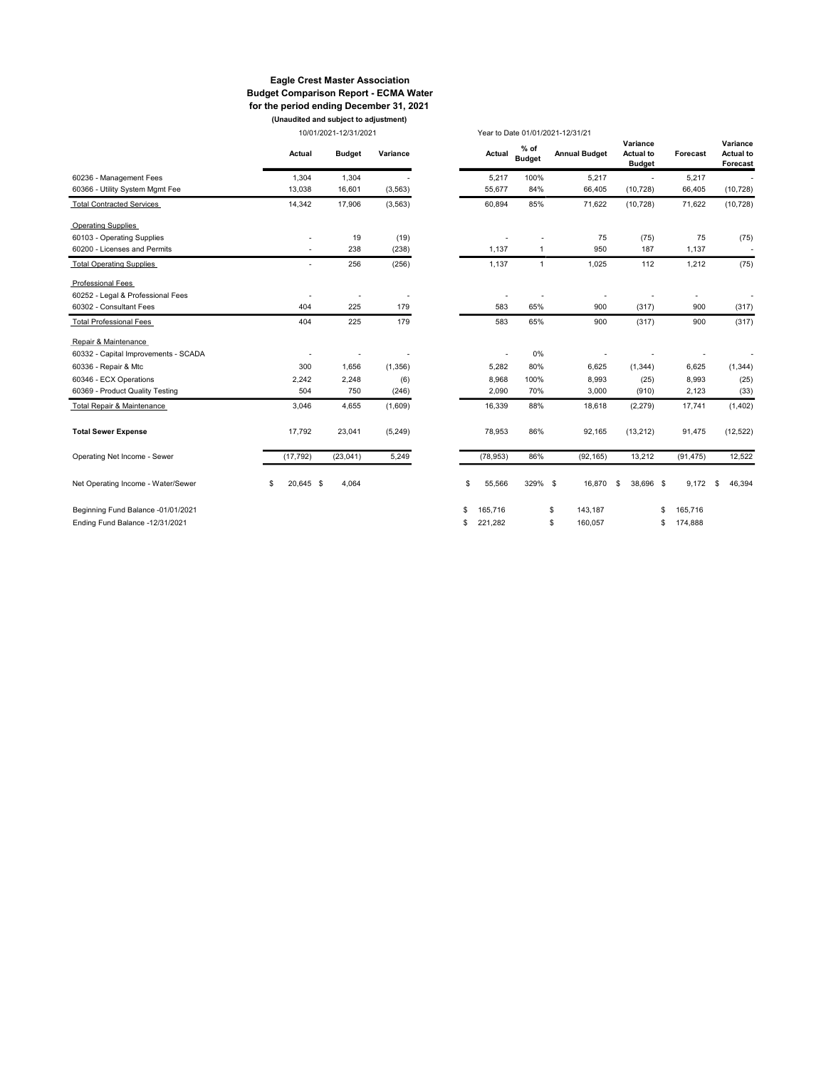#### Eagle Crest Master Association Budget Comparison Report - ECMA Water for the period ending December 31, 2021 (Unaudited and subject to adjustment)

10/01/2021-12/31/2021 Year to Date 01/01/2021-12/31/21

|                                      | Actual                   | <b>Budget</b> | Variance | Actual        | $%$ of<br><b>Budget</b> | <b>Annual Budget</b> | Variance<br><b>Actual to</b><br><b>Budget</b> | Forecast      | Variance<br><b>Actual to</b><br>Forecast |
|--------------------------------------|--------------------------|---------------|----------|---------------|-------------------------|----------------------|-----------------------------------------------|---------------|------------------------------------------|
| 60236 - Management Fees              | 1,304                    | 1,304         |          | 5,217         | 100%                    | 5,217                | $\overline{a}$                                | 5,217         |                                          |
| 60366 - Utility System Mgmt Fee      | 13,038                   | 16,601        | (3, 563) | 55,677        | 84%                     | 66,405               | (10, 728)                                     | 66,405        | (10, 728)                                |
| <b>Total Contracted Services</b>     | 14,342                   | 17,906        | (3, 563) | 60,894        | 85%                     | 71,622               | (10, 728)                                     | 71,622        | (10, 728)                                |
| <b>Operating Supplies</b>            |                          |               |          |               |                         |                      |                                               |               |                                          |
| 60103 - Operating Supplies           |                          | 19            | (19)     |               |                         | 75                   | (75)                                          | 75            | (75)                                     |
| 60200 - Licenses and Permits         | $\overline{\phantom{a}}$ | 238           | (238)    | 1,137         | 1                       | 950                  | 187                                           | 1,137         | $\overline{\phantom{a}}$                 |
| <b>Total Operating Supplies</b>      |                          | 256           | (256)    | 1,137         | $\mathbf{1}$            | 1,025                | 112                                           | 1,212         | (75)                                     |
| Professional Fees                    |                          |               |          |               |                         |                      |                                               |               |                                          |
| 60252 - Legal & Professional Fees    |                          |               |          |               |                         |                      |                                               |               |                                          |
| 60302 - Consultant Fees              | 404                      | 225           | 179      | 583           | 65%                     | 900                  | (317)                                         | 900           | (317)                                    |
| <b>Total Professional Fees</b>       | 404                      | 225           | 179      | 583           | 65%                     | 900                  | (317)                                         | 900           | (317)                                    |
| Repair & Maintenance                 |                          |               |          |               |                         |                      |                                               |               |                                          |
| 60332 - Capital Improvements - SCADA |                          |               |          |               | 0%                      |                      |                                               |               |                                          |
| 60336 - Repair & Mtc                 | 300                      | 1,656         | (1, 356) | 5,282         | 80%                     | 6,625                | (1, 344)                                      | 6,625         | (1, 344)                                 |
| 60346 - ECX Operations               | 2,242                    | 2,248         | (6)      | 8,968         | 100%                    | 8,993                | (25)                                          | 8,993         | (25)                                     |
| 60369 - Product Quality Testing      | 504                      | 750           | (246)    | 2,090         | 70%                     | 3,000                | (910)                                         | 2,123         | (33)                                     |
| Total Repair & Maintenance           | 3,046                    | 4,655         | (1,609)  | 16,339        | 88%                     | 18,618               | (2, 279)                                      | 17,741        | (1, 402)                                 |
| <b>Total Sewer Expense</b>           | 17,792                   | 23,041        | (5, 249) | 78,953        | 86%                     | 92,165               | (13, 212)                                     | 91,475        | (12, 522)                                |
| Operating Net Income - Sewer         | (17, 792)                | (23,041)      | 5,249    | (78, 953)     | 86%                     | (92, 165)            | 13,212                                        | (91, 475)     | 12,522                                   |
| Net Operating Income - Water/Sewer   | \$<br>20,645 \$          | 4,064         |          | \$<br>55,566  | 329% \$                 | 16,870               | 38,696 \$<br>\$                               | 9,172         | 46,394<br>\$                             |
| Beginning Fund Balance -01/01/2021   |                          |               |          | \$<br>165,716 |                         | \$<br>143,187        |                                               | 165,716<br>\$ |                                          |
| Ending Fund Balance -12/31/2021      |                          |               |          | \$<br>221,282 |                         | \$<br>160,057        |                                               | 174,888<br>\$ |                                          |